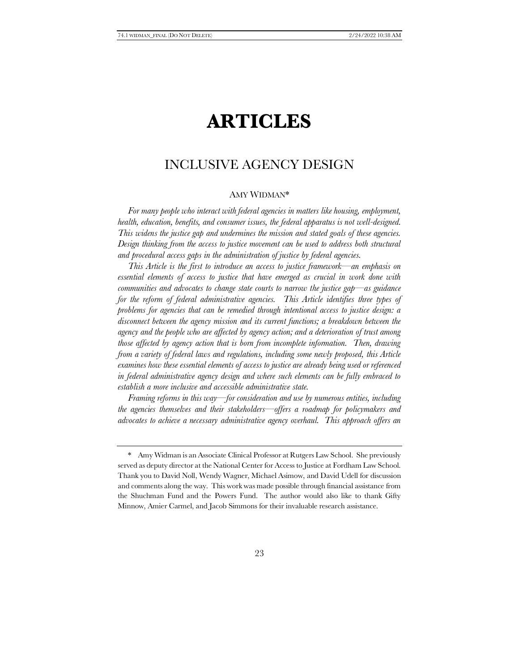# **ARTICLES**

## INCLUSIVE AGENCY DESIGN

## AMY WIDMAN\*

*For many people who interact with federal agencies in matters like housing, employment, health, education, benefits, and consumer issues, the federal apparatus is not well-designed. This widens the justice gap and undermines the mission and stated goals of these agencies. Design thinking from the access to justice movement can be used to address both structural and procedural access gaps in the administration of justice by federal agencies.*

*This Article is the first to introduce an access to justice framework—an emphasis on essential elements of access to justice that have emerged as crucial in work done with communities and advocates to change state courts to narrow the justice gap—as guidance for the reform of federal administrative agencies. This Article identifies three types of problems for agencies that can be remedied through intentional access to justice design: a disconnect between the agency mission and its current functions; a breakdown between the agency and the people who are affected by agency action; and a deterioration of trust among those affected by agency action that is born from incomplete information. Then, drawing from a variety of federal laws and regulations, including some newly proposed, this Article examines how these essential elements of access to justice are already being used or referenced in federal administrative agency design and where such elements can be fully embraced to establish a more inclusive and accessible administrative state.*

*Framing reforms in this way—for consideration and use by numerous entities, including the agencies themselves and their stakeholders—offers a roadmap for policymakers and advocates to achieve a necessary administrative agency overhaul. This approach offers an* 

Amy Widman is an Associate Clinical Professor at Rutgers Law School. She previously served as deputy director at the National Center for Access to Justice at Fordham Law School. Thank you to David Noll, Wendy Wagner, Michael Asimow, and David Udell for discussion and comments along the way. This work was made possible through financial assistance from the Shuchman Fund and the Powers Fund. The author would also like to thank Gifty Minnow, Amier Carmel, and Jacob Simmons for their invaluable research assistance.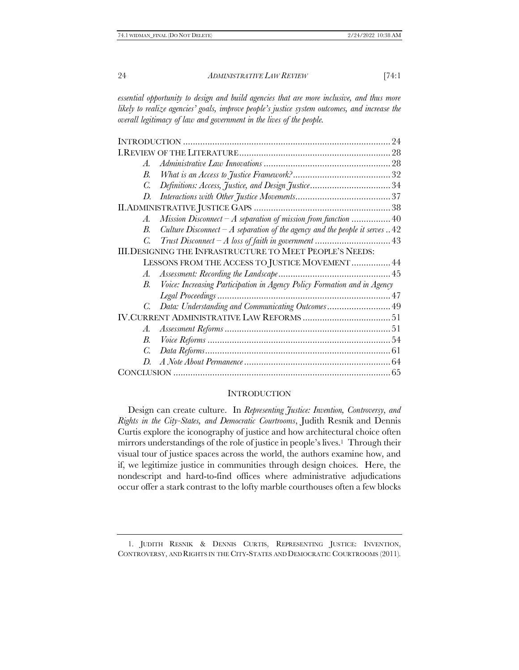essential opportunity to design and build agencies that are more inclusive, and thus more *likely to realize agencies' goals, improve people's justice system outcomes, and increase the overall legitimacy of law and government in the lives of the people.* 

| A.               |                                                                                 |  |
|------------------|---------------------------------------------------------------------------------|--|
| $R_{\cdot}$      |                                                                                 |  |
| C.               |                                                                                 |  |
| D.               |                                                                                 |  |
|                  |                                                                                 |  |
| A.               | Mission Disconnect – A separation of mission from function  40                  |  |
| $\boldsymbol{R}$ | Culture Disconnect $-A$ separation of the agency and the people it serves $.42$ |  |
| $\mathcal{C}$ .  |                                                                                 |  |
|                  | <b>III.DESIGNING THE INFRASTRUCTURE TO MEET PEOPLE'S NEEDS:</b>                 |  |
|                  | LESSONS FROM THE ACCESS TO JUSTICE MOVEMENT  44                                 |  |
| A.               |                                                                                 |  |
| В.               | Voice: Increasing Participation in Agency Policy Formation and in Agency        |  |
|                  |                                                                                 |  |
| C.               | Data: Understanding and Communicating Outcomes 49                               |  |
|                  |                                                                                 |  |
| A.               |                                                                                 |  |
| $\overline{B}$ . |                                                                                 |  |
| C.               |                                                                                 |  |
| D                |                                                                                 |  |
|                  |                                                                                 |  |

## <span id="page-1-0"></span>**INTRODUCTION**

Design can create culture. In *Representing Justice: Invention, Controversy, and Rights in the City-States, and Democratic Courtrooms*, Judith Resnik and Dennis Curtis explore the iconography of justice and how architectural choice often mirrors understandings of the role of justice in people's lives.1 Through their visual tour of justice spaces across the world, the authors examine how, and if, we legitimize justice in communities through design choices. Here, the nondescript and hard-to-find offices where administrative adjudications occur offer a stark contrast to the lofty marble courthouses often a few blocks

<sup>1.</sup> JUDITH RESNIK & DENNIS CURTIS, REPRESENTING JUSTICE: INVENTION, CONTROVERSY, AND RIGHTS IN THE CITY-STATES AND DEMOCRATIC COURTROOMS (2011).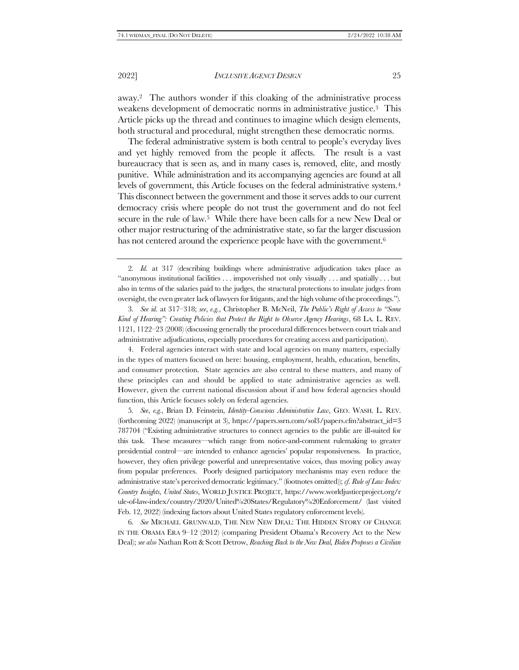2022] *INCLUSIVE AGENCY DESIGN* 25

away.2 The authors wonder if this cloaking of the administrative process weakens development of democratic norms in administrative justice.3 This Article picks up the thread and continues to imagine which design elements, both structural and procedural, might strengthen these democratic norms.

The federal administrative system is both central to people's everyday lives and yet highly removed from the people it affects. The result is a vast bureaucracy that is seen as, and in many cases is, removed, elite, and mostly punitive. While administration and its accompanying agencies are found at all levels of government, this Article focuses on the federal administrative system.<sup>4</sup> This disconnect between the government and those it serves adds to our current democracy crisis where people do not trust the government and do not feel secure in the rule of law.5 While there have been calls for a new New Deal or other major restructuring of the administrative state, so far the larger discussion has not centered around the experience people have with the government.<sup>6</sup>

4. Federal agencies interact with state and local agencies on many matters, especially in the types of matters focused on here: housing, employment, health, education, benefits, and consumer protection. State agencies are also central to these matters, and many of these principles can and should be applied to state administrative agencies as well. However, given the current national discussion about if and how federal agencies should function, this Article focuses solely on federal agencies.

5*. See*, *e.g.*, Brian D. Feinstein, *Identity-Conscious Administrative Law*, GEO. WASH. L. REV. (forthcoming 2022) (manuscript at 3), https://papers.ssrn.com/sol3/papers.cfm?abstract\_id=3 787704 ("Existing administrative structures to connect agencies to the public are ill-suited for this task. These measures—which range from notice-and-comment rulemaking to greater presidential control—are intended to enhance agencies' popular responsiveness. In practice, however, they often privilege powerful and unrepresentative voices, thus moving policy away from popular preferences. Poorly designed participatory mechanisms may even reduce the administrative state's perceived democratic legitimacy." (footnotes omitted)); *cf. Rule of Law Index: Country Insights, United States*, WORLD JUSTICE PROJECT, https://www.worldjusticeproject.org/r ule-of-law-index/country/2020/United%20States/Regulatory%20Enforcement/ (last visited Feb. 12, 2022) (indexing factors about United States regulatory enforcement levels).

6*. See* MICHAEL GRUNWALD, THE NEW NEW DEAL: THE HIDDEN STORY OF CHANGE IN THE OBAMA ERA 9–12 (2012) (comparing President Obama's Recovery Act to the New Deal); *see also* Nathan Rott & Scott Detrow, *Reaching Back to the New Deal, Biden Proposes a Civilian* 

<span id="page-2-0"></span><sup>2</sup>*. Id.* at 317 (describing buildings where administrative adjudication takes place as "anonymous institutional facilities . . . impoverished not only visually . . . and spatially . . . but also in terms of the salaries paid to the judges, the structural protections to insulate judges from oversight, the even greater lack of lawyers for litigants, and the high volume of the proceedings.").

<sup>3</sup>*. See id.* at 317–318; *see*, *e.g.*, Christopher B. McNeil, *The Public's Right of Access to "Some Kind of Hearing": Creating Policies that Protect the Right to Observe Agency Hearings*, 68 LA. L. REV. 1121, 1122–23 (2008) (discussing generally the procedural differences between court trials and administrative adjudications, especially procedures for creating access and participation).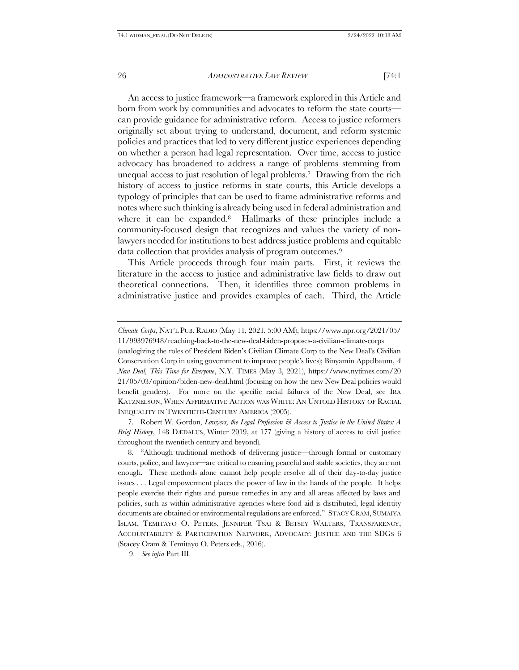An access to justice framework—a framework explored in this Article and born from work by communities and advocates to reform the state courts can provide guidance for administrative reform. Access to justice reformers originally set about trying to understand, document, and reform systemic policies and practices that led to very different justice experiences depending on whether a person had legal representation. Over time, access to justice advocacy has broadened to address a range of problems stemming from unequal access to just resolution of legal problems.7 Drawing from the rich history of access to justice reforms in state courts, this Article develops a typology of principles that can be used to frame administrative reforms and notes where such thinking is already being used in federal administration and where it can be expanded. <sup>8</sup> Hallmarks of these principles include a community-focused design that recognizes and values the variety of nonlawyers needed for institutions to best address justice problems and equitable data collection that provides analysis of program outcomes.<sup>9</sup>

This Article proceeds through four main parts. First, it reviews the literature in the access to justice and administrative law fields to draw out theoretical connections. Then, it identifies three common problems in administrative justice and provides examples of each. Third, the Article

7. Robert W. Gordon, *Lawyers, the Legal Profession & Access to Justice in the United States: A Brief History*, 148 DÆDALUS, Winter 2019, at 177 (giving a history of access to civil justice throughout the twentieth century and beyond).

8. "Although traditional methods of delivering justice—through formal or customary courts, police, and lawyers—are critical to ensuring peaceful and stable societies, they are not enough. These methods alone cannot help people resolve all of their day-to-day justice issues . . . Legal empowerment places the power of law in the hands of the people. It helps people exercise their rights and pursue remedies in any and all areas affected by laws and policies, such as within administrative agencies where food aid is distributed, legal identity documents are obtained or environmental regulations are enforced." STACY CRAM, SUMAIYA ISLAM, TEMITAYO O. PETERS, JENNIFER TSAI & BETSEY WALTERS, TRANSPARENCY, ACCOUNTABILITY & PARTICIPATION NETWORK, ADVOCACY: JUSTICE AND THE SDGS 6 (Stacey Cram & Temitayo O. Peters eds., 2016).

*Climate Corps*, NAT'L PUB. RADIO (May 11, 2021, 5:00 AM), https://www.npr.org/2021/05/ 11/993976948/reaching-back-to-the-new-deal-biden-proposes-a-civilian-climate-corps

<sup>(</sup>analogizing the roles of President Biden's Civilian Climate Corp to the New Deal's Civilian Conservation Corp in using government to improve people's lives); Binyamin Appelbaum, *A New Deal, This Time for Everyone*, N.Y. TIMES (May 3, 2021), https://www.nytimes.com/20 21/05/03/opinion/biden-new-deal.html (focusing on how the new New Deal policies would benefit genders). For more on the specific racial failures of the New Deal, see IRA KATZNELSON, WHEN AFFIRMATIVE ACTION WAS WHITE: AN UNTOLD HISTORY OF RACIAL INEQUALITY IN TWENTIETH-CENTURY AMERICA (2005).

<sup>9.</sup> *See infra* Par[t III.](#page-21-0)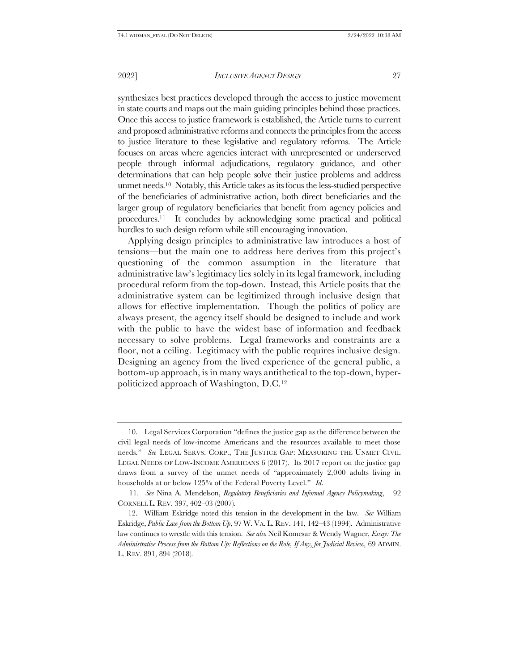synthesizes best practices developed through the access to justice movement in state courts and maps out the main guiding principles behind those practices. Once this access to justice framework is established, the Article turns to current and proposed administrative reforms and connects the principles from the access to justice literature to these legislative and regulatory reforms. The Article focuses on areas where agencies interact with unrepresented or underserved people through informal adjudications, regulatory guidance, and other determinations that can help people solve their justice problems and address unmet needs.<sup>10</sup> Notably, this Article takes as its focus the less-studied perspective of the beneficiaries of administrative action, both direct beneficiaries and the larger group of regulatory beneficiaries that benefit from agency policies and procedures.11 It concludes by acknowledging some practical and political hurdles to such design reform while still encouraging innovation.

Applying design principles to administrative law introduces a host of tensions—but the main one to address here derives from this project's questioning of the common assumption in the literature that administrative law's legitimacy lies solely in its legal framework, including procedural reform from the top-down. Instead, this Article posits that the administrative system can be legitimized through inclusive design that allows for effective implementation. Though the politics of policy are always present, the agency itself should be designed to include and work with the public to have the widest base of information and feedback necessary to solve problems. Legal frameworks and constraints are a floor, not a ceiling. Legitimacy with the public requires inclusive design. Designing an agency from the lived experience of the general public, a bottom-up approach, is in many ways antithetical to the top-down, hyperpoliticized approach of Washington, D.C.<sup>12</sup>

<sup>10.</sup> Legal Services Corporation "defines the justice gap as the difference between the civil legal needs of low-income Americans and the resources available to meet those needs." *See* LEGAL SERVS. CORP., THE JUSTICE GAP: MEASURING THE UNMET CIVIL LEGAL NEEDS OF LOW-INCOME AMERICANS 6 (2017). Its 2017 report on the justice gap draws from a survey of the unmet needs of "approximately 2,000 adults living in households at or below 125% of the Federal Poverty Level." *Id.*

<sup>11.</sup> *See* Nina A. Mendelson, *Regulatory Beneficiaries and Informal Agency Policymaking*, 92 CORNELL L. REV. 397, 402–03 (2007).

<sup>12.</sup> William Eskridge noted this tension in the development in the law. *See* William Eskridge, *Public Law from the Bottom Up*, 97 W. VA. L. REV. 141, 142–43 (1994). Administrative law continues to wrestle with this tension. *See also* Neil Komesar & Wendy Wagner, *Essay: The Administrative Process from the Bottom Up: Reflections on the Role, If Any, for Judicial Review,* 69 ADMIN. L. REV. 891, 894 (2018).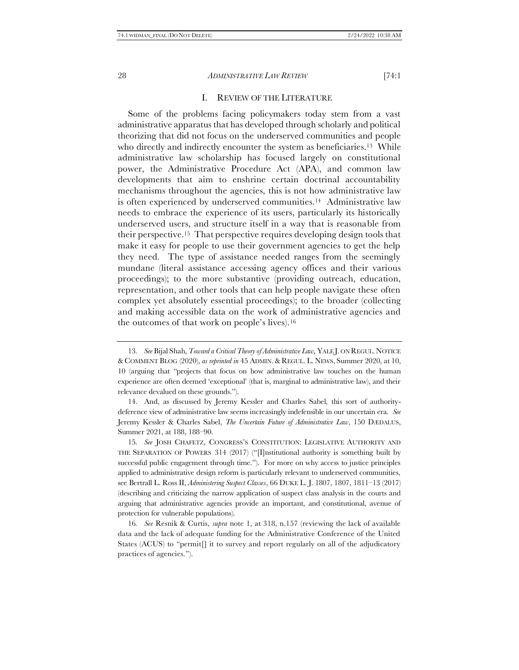#### <span id="page-5-0"></span>I. REVIEW OF THE LITERATURE

Some of the problems facing policymakers today stem from a vast administrative apparatus that has developed through scholarly and political theorizing that did not focus on the underserved communities and people who directly and indirectly encounter the system as beneficiaries.<sup>13</sup> While administrative law scholarship has focused largely on constitutional power, the Administrative Procedure Act (APA), and common law developments that aim to enshrine certain doctrinal accountability mechanisms throughout the agencies, this is not how administrative law is often experienced by underserved communities. <sup>14</sup> Administrative law needs to embrace the experience of its users, particularly its historically underserved users, and structure itself in a way that is reasonable from their perspective.15 That perspective requires developing design tools that make it easy for people to use their government agencies to get the help they need. The type of assistance needed ranges from the seemingly mundane (literal assistance accessing agency offices and their various proceedings); to the more substantive (providing outreach, education, representation, and other tools that can help people navigate these often complex yet absolutely essential proceedings); to the broader (collecting and making accessible data on the work of administrative agencies and the outcomes of that work on people's lives).<sup>16</sup>

14. And, as discussed by Jeremy Kessler and Charles Sabel, this sort of authoritydeference view of administrative law seems increasingly indefensible in our uncertain era. *See* Jeremy Kessler & Charles Sabel, *The Uncertain Future of Administrative Law*, 150 DÆDALUS, Summer 2021, at 188, 188–90.

15*. See* JOSH CHAFETZ, CONGRESS'S CONSTITUTION: LEGISLATIVE AUTHORITY AND THE SEPARATION OF POWERS 314 (2017) ("[I]nstitutional authority is something built by successful public engagement through time."). For more on why access to justice principles applied to administrative design reform is particularly relevant to underserved communities, see Bertrall L. Ross II, *Administering Suspect Classes*, 66 DUKE L. J. 1807, 1807, 1811–13 (2017) (describing and criticizing the narrow application of suspect class analysis in the courts and arguing that administrative agencies provide an important, and constitutional, avenue of protection for vulnerable populations).

16*. See* Resnik & Curtis, *supra* note [1,](#page-1-0) at 318, n.157 (reviewing the lack of available data and the lack of adequate funding for the Administrative Conference of the United States (ACUS) to "permit $\left[\right]$  it to survey and report regularly on all of the adjudicatory practices of agencies.").

<span id="page-5-1"></span><sup>13</sup>*. See* Bijal Shah, *Toward a Critical Theory of Administrative Law,* YALE J. ON REGUL.NOTICE & COMMENT BLOG (2020), *as reprinted in* 45 ADMIN.& REGUL. L. NEWS, Summer 2020, at 10, 10 (arguing that "projects that focus on how administrative law touches on the human experience are often deemed 'exceptional' (that is, marginal to administrative law), and their relevance devalued on these grounds.").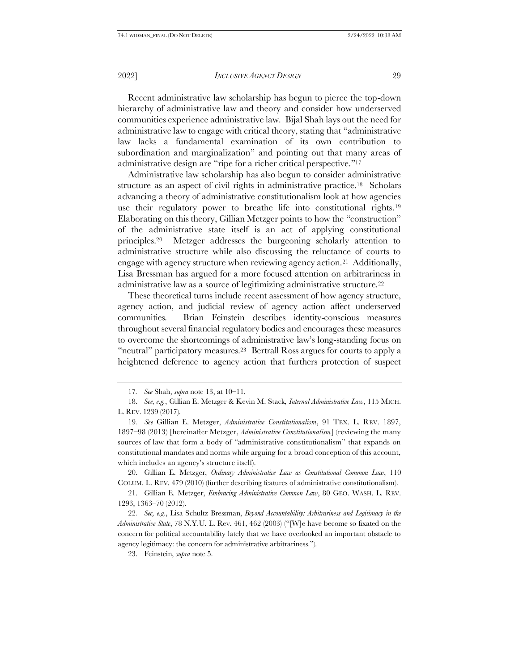Recent administrative law scholarship has begun to pierce the top-down hierarchy of administrative law and theory and consider how underserved communities experience administrative law. Bijal Shah lays out the need for administrative law to engage with critical theory, stating that "administrative law lacks a fundamental examination of its own contribution to subordination and marginalization" and pointing out that many areas of administrative design are "ripe for a richer critical perspective."<sup>17</sup>

<span id="page-6-0"></span>Administrative law scholarship has also begun to consider administrative structure as an aspect of civil rights in administrative practice.<sup>18</sup> Scholars advancing a theory of administrative constitutionalism look at how agencies use their regulatory power to breathe life into constitutional rights.<sup>19</sup> Elaborating on this theory, Gillian Metzger points to how the "construction" of the administrative state itself is an act of applying constitutional principles.20 Metzger addresses the burgeoning scholarly attention to administrative structure while also discussing the reluctance of courts to engage with agency structure when reviewing agency action.21 Additionally, Lisa Bressman has argued for a more focused attention on arbitrariness in administrative law as a source of legitimizing administrative structure.<sup>22</sup>

These theoretical turns include recent assessment of how agency structure, agency action, and judicial review of agency action affect underserved communities. Brian Feinstein describes identity-conscious measures throughout several financial regulatory bodies and encourages these measures to overcome the shortcomings of administrative law's long-standing focus on "neutral" participatory measures.<sup>23</sup> Bertrall Ross argues for courts to apply a heightened deference to agency action that furthers protection of suspect

20. Gillian E. Metzger, *Ordinary Administrative Law as Constitutional Common Law*, 110 COLUM. L. REV. 479 (2010) (further describing features of administrative constitutionalism).

21. Gillian E. Metzger, *Embracing Administrative Common Law*, 80 GEO. WASH. L. REV. 1293, 1363–70 (2012).

22*. See, e.g.*, Lisa Schultz Bressman, *Beyond Accountability: Arbitrariness and Legitimacy in the Administrative State*, 78 N.Y.U. L. Rev. 461, 462 (2003) ("[W]e have become so fixated on the concern for political accountability lately that we have overlooked an important obstacle to agency legitimacy: the concern for administrative arbitrariness.").

23. Feinstein, *supra* not[e 5.](#page-2-0)

<sup>17</sup>*. See* Shah, *supra* note [13,](#page-5-0) at 10–11.

<sup>18.</sup> *See, e.g.*, Gillian E. Metzger & Kevin M. Stack, *Internal Administrative Law*, 115 MICH. L. REV. 1239 (2017).

<sup>19</sup>*. See* Gillian E. Metzger, *Administrative Constitutionalism*, 91 TEX. L. REV. 1897, 1897–98 (2013) [hereinafter Metzger, *Administrative Constitutionalism*] (reviewing the many sources of law that form a body of "administrative constitutionalism" that expands on constitutional mandates and norms while arguing for a broad conception of this account, which includes an agency's structure itself).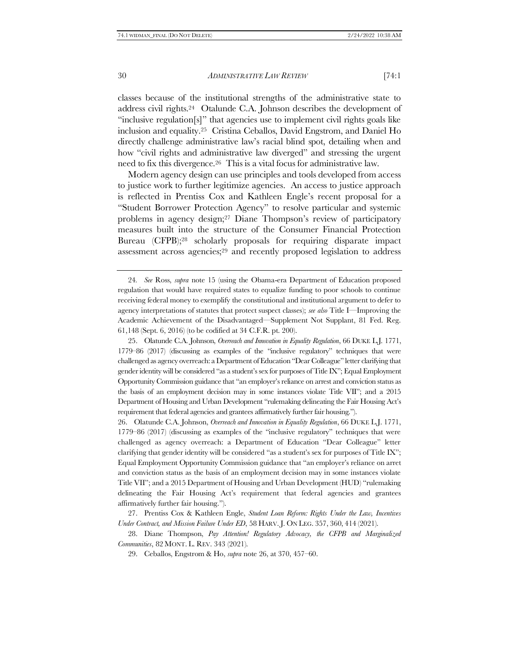<span id="page-7-3"></span>classes because of the institutional strengths of the administrative state to address civil rights.24 Otalunde C.A. Johnson describes the development of "inclusive regulation[s]" that agencies use to implement civil rights goals like inclusion and equality.25 Cristina Ceballos, David Engstrom, and Daniel Ho directly challenge administrative law's racial blind spot, detailing when and how "civil rights and administrative law diverged" and stressing the urgent need to fix this divergence.26 This is a vital focus for administrative law.

<span id="page-7-2"></span><span id="page-7-0"></span>Modern agency design can use principles and tools developed from access to justice work to further legitimize agencies. An access to justice approach is reflected in Prentiss Cox and Kathleen Engle's recent proposal for a "Student Borrower Protection Agency" to resolve particular and systemic problems in agency design;<sup>27</sup> Diane Thompson's review of participatory measures built into the structure of the Consumer Financial Protection Bureau (CFPB);<sup>28</sup> scholarly proposals for requiring disparate impact assessment across agencies;<sup>29</sup> and recently proposed legislation to address

<span id="page-7-1"></span><sup>24</sup>*. See* Ross, *supra* note [15](#page-5-1) (using the Obama-era Department of Education proposed regulation that would have required states to equalize funding to poor schools to continue receiving federal money to exemplify the constitutional and institutional argument to defer to agency interpretations of statutes that protect suspect classes); *see also* Title I—Improving the Academic Achievement of the Disadvantaged—Supplement Not Supplant, 81 Fed. Reg. 61,148 (Sept. 6, 2016) (to be codified at 34 C.F.R. pt. 200).

<sup>25.</sup> Olatunde C.A. Johnson, *Overreach and Innovation in Equality Regulation*, 66 DUKE L.J. 1771, 1779–86 (2017) (discussing as examples of the "inclusive regulatory" techniques that were challenged as agency overreach: a Department of Education "Dear Colleague" letter clarifying that gender identity will be considered "as a student's sex for purposes of Title IX"; Equal Employment Opportunity Commission guidance that "an employer's reliance on arrest and conviction status as the basis of an employment decision may in some instances violate Title VII"; and a 2015 Department of Housing and Urban Development "rulemaking delineating the Fair Housing Act's requirement that federal agencies and grantees affirmatively further fair housing.").

<sup>26.</sup> Olatunde C.A. Johnson, *Overreach and Innovation in Equality Regulation*, 66 DUKE L.J. 1771, 1779–86 (2017) (discussing as examples of the "inclusive regulatory" techniques that were challenged as agency overreach: a Department of Education "Dear Colleague" letter clarifying that gender identity will be considered "as a student's sex for purposes of Title IX"; Equal Employment Opportunity Commission guidance that "an employer's reliance on arret and conviction status as the basis of an employment decision may in some instances violate Title VII"; and a 2015 Department of Housing and Urban Development (HUD) "rulemaking delineating the Fair Housing Act's requirement that federal agencies and grantees affirmatively further fair housing.").

<sup>27.</sup> Prentiss Cox & Kathleen Engle, *Student Loan Reform: Rights Under the Law, Incentives Under Contract, and Mission Failure Under ED*, 58 HARV. J. ON LEG. 357, 360, 414 (2021).

<sup>28.</sup> Diane Thompson, *Pay Attention! Regulatory Advocacy, the CFPB and Marginalized Communities*, 82 MONT. L. REV. 343 (2021).

<sup>29.</sup> Ceballos, Engstrom & Ho, *supra* not[e 26,](#page-7-0) at 370, 457–60.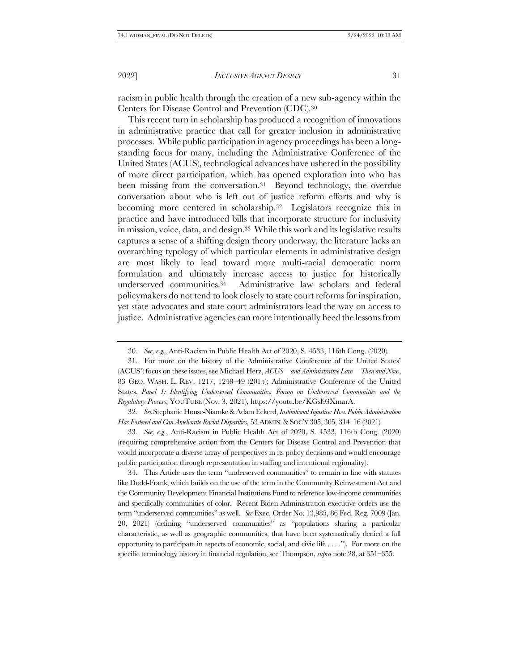racism in public health through the creation of a new sub-agency within the Centers for Disease Control and Prevention (CDC).<sup>30</sup>

This recent turn in scholarship has produced a recognition of innovations in administrative practice that call for greater inclusion in administrative processes. While public participation in agency proceedings has been a longstanding focus for many, including the Administrative Conference of the United States (ACUS), technological advances have ushered in the possibility of more direct participation, which has opened exploration into who has been missing from the conversation.<sup>31</sup> Beyond technology, the overdue conversation about who is left out of justice reform efforts and why is becoming more centered in scholarship.<sup>32</sup> Legislators recognize this in practice and have introduced bills that incorporate structure for inclusivity in mission, voice, data, and design.33 While this work and its legislative results captures a sense of a shifting design theory underway, the literature lacks an overarching typology of which particular elements in administrative design are most likely to lead toward more multi-racial democratic norm formulation and ultimately increase access to justice for historically underserved communities.34 Administrative law scholars and federal policymakers do not tend to look closely to state court reforms for inspiration, yet state advocates and state court administrators lead the way on access to justice. Administrative agencies can more intentionally heed the lessons from

34. This Article uses the term "underserved communities" to remain in line with statutes like Dodd-Frank, which builds on the use of the term in the Community Reinvestment Act and the Community Development Financial Institutions Fund to reference low-income communities and specifically communities of color. Recent Biden Administration executive orders use the term "underserved communities" as well. *See* Exec. Order No. 13,985, 86 Fed. Reg. 7009 (Jan. 20, 2021) (defining "underserved communities" as "populations sharing a particular characteristic, as well as geographic communities, that have been systematically denied a full opportunity to participate in aspects of economic, social, and civic life . . . ."). For more on the specific terminology history in financial regulation, see Thompson, *supra* not[e 28,](#page-7-1) at 351–355.

<sup>30</sup>*. See, e.g.*, Anti-Racism in Public Health Act of 2020, S. 4533, 116th Cong. (2020).

<sup>31.</sup> For more on the history of the Administrative Conference of the United States' (ACUS') focus on these issues, see Michael Herz, *ACUS—and Administrative Law—Then and Now*, 83 GEO. WASH. L. REV. 1217, 1248–49 (2015); Administrative Conference of the United States, *Panel 1: Identifying Underserved Communities, Forum on Underserved Communities and the Regulatory Process*, YOUTUBE (Nov. 3, 2021), https://youtu.be/KGsl93XmarA.

<sup>32</sup>*. See* Stephanie House-Niamke & Adam Eckerd, *Institutional Injustice: How Public Administration Has Fostered and Can Ameliorate Racial Disparities*, 53 ADMIN.&SOC'Y 305, 305, 314–16 (2021).

<sup>33</sup>*. See, e.g.*, Anti-Racism in Public Health Act of 2020, S. 4533, 116th Cong. (2020) (requiring comprehensive action from the Centers for Disease Control and Prevention that would incorporate a diverse array of perspectives in its policy decisions and would encourage public participation through representation in staffing and intentional regionality).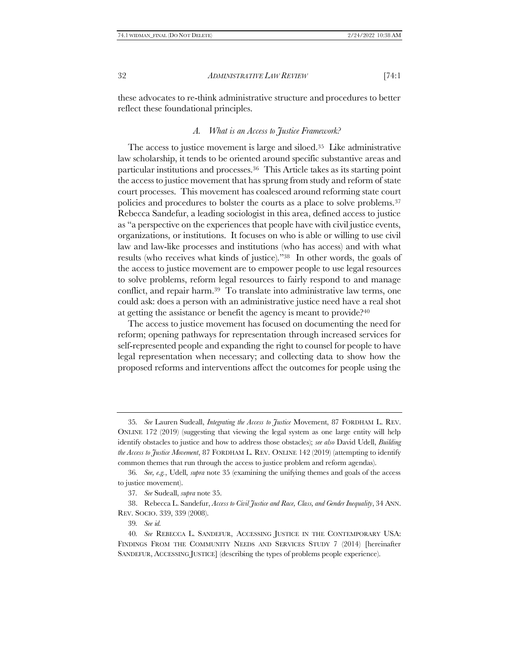these advocates to re-think administrative structure and procedures to better reflect these foundational principles.

## <span id="page-9-0"></span>*A. What is an Access to Justice Framework?*

The access to justice movement is large and siloed.35 Like administrative law scholarship, it tends to be oriented around specific substantive areas and particular institutions and processes.36 This Article takes as its starting point the access to justice movement that has sprung from study and reform of state court processes. This movement has coalesced around reforming state court policies and procedures to bolster the courts as a place to solve problems.<sup>37</sup> Rebecca Sandefur, a leading sociologist in this area, defined access to justice as "a perspective on the experiences that people have with civil justice events, organizations, or institutions. It focuses on who is able or willing to use civil law and law-like processes and institutions (who has access) and with what results (who receives what kinds of justice)."38 In other words, the goals of the access to justice movement are to empower people to use legal resources to solve problems, reform legal resources to fairly respond to and manage conflict, and repair harm.<sup>39</sup> To translate into administrative law terms, one could ask: does a person with an administrative justice need have a real shot at getting the assistance or benefit the agency is meant to provide?<sup>40</sup>

<span id="page-9-1"></span>The access to justice movement has focused on documenting the need for reform; opening pathways for representation through increased services for self-represented people and expanding the right to counsel for people to have legal representation when necessary; and collecting data to show how the proposed reforms and interventions affect the outcomes for people using the

39*. See id.*

<sup>35</sup>*. See* Lauren Sudeall, *Integrating the Access to Justice* Movement, 87 FORDHAM L. REV. ONLINE 172 (2019) (suggesting that viewing the legal system as one large entity will help identify obstacles to justice and how to address those obstacles); *see also* David Udell, *Building the Access to Justice Movement*, 87 FORDHAM L. REV. ONLINE 142 (2019) (attempting to identify common themes that run through the access to justice problem and reform agendas).

<sup>36</sup>*. See, e.g.*, Udell, *supra* note [35](#page-9-0) (examining the unifying themes and goals of the access to justice movement).

<sup>37</sup>*. See* Sudeall, *supra* not[e 35.](#page-9-0)

<sup>38.</sup> Rebecca L. Sandefur, *Access to Civil Justice and Race, Class, and Gender Inequality*, 34 ANN. REV. SOCIO. 339, 339 (2008).

<sup>40</sup>*. See* REBECCA L. SANDEFUR, ACCESSING JUSTICE IN THE CONTEMPORARY USA: FINDINGS FROM THE COMMUNITY NEEDS AND SERVICES STUDY 7 (2014) [hereinafter SANDEFUR, ACCESSING JUSTICE] (describing the types of problems people experience).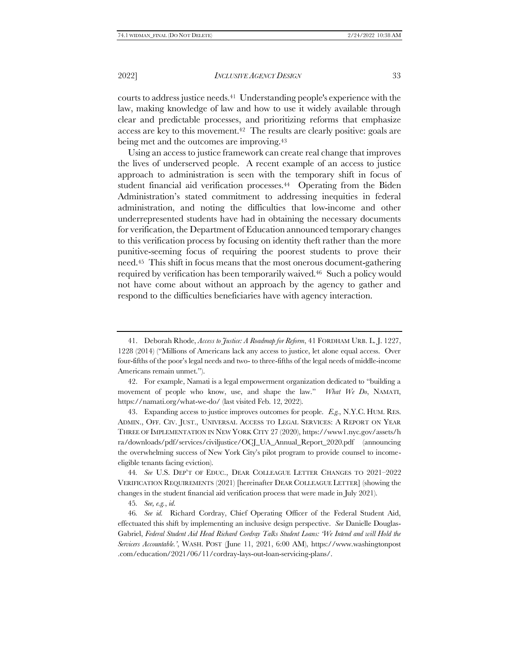<span id="page-10-0"></span>courts to address justice needs.41 Understanding people's experience with the law, making knowledge of law and how to use it widely available through clear and predictable processes, and prioritizing reforms that emphasize access are key to this movement.42 The results are clearly positive: goals are being met and the outcomes are improving.<sup>43</sup>

<span id="page-10-1"></span>Using an access to justice framework can create real change that improves the lives of underserved people. A recent example of an access to justice approach to administration is seen with the temporary shift in focus of student financial aid verification processes.<sup>44</sup> Operating from the Biden Administration's stated commitment to addressing inequities in federal administration, and noting the difficulties that low-income and other underrepresented students have had in obtaining the necessary documents for verification, the Department of Education announced temporary changes to this verification process by focusing on identity theft rather than the more punitive-seeming focus of requiring the poorest students to prove their need.45 This shift in focus means that the most onerous document-gathering required by verification has been temporarily waived.<sup>46</sup> Such a policy would not have come about without an approach by the agency to gather and respond to the difficulties beneficiaries have with agency interaction.

42. For example, Namati is a legal empowerment organization dedicated to "building a movement of people who know, use, and shape the law." *What We Do*, NAMATI, https://namati.org/what-we-do/ (last visited Feb. 12, 2022).

43. Expanding access to justice improves outcomes for people. *E.g.*, N.Y.C. HUM. RES. ADMIN., OFF. CIV. JUST., UNIVERSAL ACCESS TO LEGAL SERVICES: A REPORT ON YEAR THREE OF IMPLEMENTATION IN NEW YORK CITY 27 (2020), https://www1.nyc.gov/assets/h ra/downloads/pdf/services/civiljustice/OCJ\_UA\_Annual\_Report\_2020.pdf (announcing the overwhelming success of New York City's pilot program to provide counsel to incomeeligible tenants facing eviction).

44*. See* U.S. DEP'T OF EDUC., DEAR COLLEAGUE LETTER CHANGES TO 2021–2022 VERIFICATION REQUIREMENTS (2021) [hereinafter DEAR COLLEAGUE LETTER] (showing the changes in the student financial aid verification process that were made in July 2021).

45*. See, e.g.*, *id.*

46*. See id.* Richard Cordray, Chief Operating Officer of the Federal Student Aid, effectuated this shift by implementing an inclusive design perspective. *See* Danielle Douglas-Gabriel, *Federal Student Aid Head Richard Cordray Talks Student Loans: 'We Intend and will Hold the Servicers Accountable.'*, WASH. POST (June 11, 2021, 6:00 AM), https://www.washingtonpost .com/education/2021/06/11/cordray-lays-out-loan-servicing-plans/.

<sup>41.</sup> Deborah Rhode, *Access to Justice: A Roadmap for Reform*, 41 FORDHAM URB. L. J. 1227, 1228 (2014) ("Millions of Americans lack any access to justice, let alone equal access. Over four-fifths of the poor's legal needs and two- to three-fifths of the legal needs of middle-income Americans remain unmet.").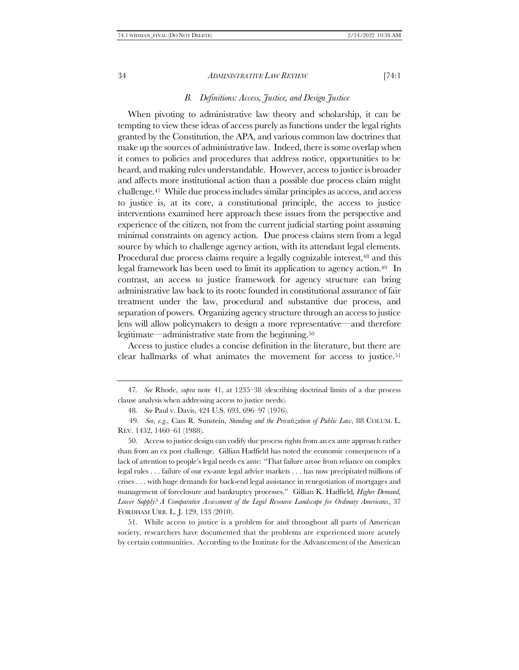## *B. Definitions: Access, Justice, and Design Justice*

When pivoting to administrative law theory and scholarship, it can be tempting to view these ideas of access purely as functions under the legal rights granted by the Constitution, the APA, and various common law doctrines that make up the sources of administrative law. Indeed, there is some overlap when it comes to policies and procedures that address notice, opportunities to be heard, and making rules understandable. However, access to justice is broader and affects more institutional action than a possible due process claim might challenge.<sup>47</sup> While due process includes similar principles as access, and access to justice is, at its core, a constitutional principle, the access to justice interventions examined here approach these issues from the perspective and experience of the citizen, not from the current judicial starting point assuming minimal constraints on agency action. Due process claims stem from a legal source by which to challenge agency action, with its attendant legal elements. Procedural due process claims require a legally cognizable interest,<sup>48</sup> and this legal framework has been used to limit its application to agency action.<sup>49</sup> In contrast, an access to justice framework for agency structure can bring administrative law back to its roots: founded in constitutional assurance of fair treatment under the law, procedural and substantive due process, and separation of powers. Organizing agency structure through an access to justice lens will allow policymakers to design a more representative—and therefore legitimate—administrative state from the beginning.<sup>50</sup>

Access to justice eludes a concise definition in the literature, but there are clear hallmarks of what animates the movement for access to justice.<sup>51</sup>

50. Access to justice design can codify due process rights from an ex ante approach rather than from an ex post challenge. Gillian Hadfield has noted the economic consequences of a lack of attention to people's legal needs ex ante: "That failure arose from reliance on complex legal rules . . . failure of our ex-ante legal advice markets . . . has now precipitated millions of crises . . . with huge demands for back-end legal assistance in renegotiation of mortgages and management of foreclosure and bankruptcy processes." Gillian K. Hadfield, *Higher Demand, Lower Supply? A Comparative Assessment of the Legal Resource Landscape for Ordinary Americans*, 37 FORDHAM URB. L. J. 129, 133 (2010).

51. While access to justice is a problem for and throughout all parts of American society, researchers have documented that the problems are experienced more acutely by certain communities. According to the Institute for the Advancement of the American

<sup>47</sup>*. See* Rhode, *supra* note [41,](#page-10-0) at 1235–38 (describing doctrinal limits of a due process clause analysis when addressing access to justice needs).

<span id="page-11-0"></span><sup>48</sup>*. See* Paul v. Davis, 424 U.S. 693, 696–97 (1976).

<sup>49.</sup> *See, e.g.*, Cass R. Sunstein, *Standing and the Privatization of Public Law*, 88 COLUM. L. REV. 1432, 1460–61 (1988).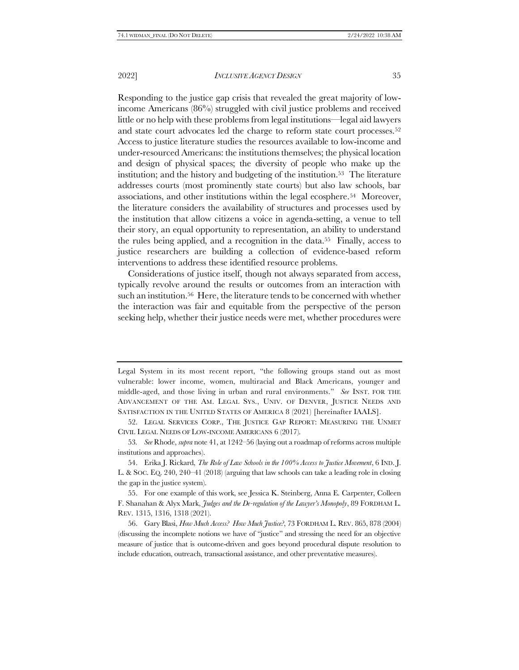Responding to the justice gap crisis that revealed the great majority of lowincome Americans (86%) struggled with civil justice problems and received little or no help with these problems from legal institutions—legal aid lawyers and state court advocates led the charge to reform state court processes.<sup>52</sup> Access to justice literature studies the resources available to low-income and under-resourced Americans: the institutions themselves; the physical location and design of physical spaces; the diversity of people who make up the institution; and the history and budgeting of the institution.53 The literature addresses courts (most prominently state courts) but also law schools, bar associations, and other institutions within the legal ecosphere.54 Moreover, the literature considers the availability of structures and processes used by the institution that allow citizens a voice in agenda-setting, a venue to tell their story, an equal opportunity to representation, an ability to understand the rules being applied, and a recognition in the data.55 Finally, access to justice researchers are building a collection of evidence-based reform interventions to address these identified resource problems.

<span id="page-12-0"></span>Considerations of justice itself, though not always separated from access, typically revolve around the results or outcomes from an interaction with such an institution.56 Here, the literature tends to be concerned with whether the interaction was fair and equitable from the perspective of the person seeking help, whether their justice needs were met, whether procedures were

Legal System in its most recent report, "the following groups stand out as most vulnerable: lower income, women, multiracial and Black Americans, younger and middle-aged, and those living in urban and rural environments." *See* INST. FOR THE ADVANCEMENT OF THE AM. LEGAL SYS., UNIV. OF DENVER, JUSTICE NEEDS AND SATISFACTION IN THE UNITED STATES OF AMERICA 8 (2021) [hereinafter IAALS].

52. LEGAL SERVICES CORP., THE JUSTICE GAP REPORT: MEASURING THE UNMET CIVIL LEGAL NEEDS OF LOW-INCOME AMERICANS 6 (2017).

53*. See* Rhode, *supra* not[e 41,](#page-10-0) at 1242–56 (laying out a roadmap of reforms across multiple institutions and approaches).

54. Erika J. Rickard, *The Role of Law Schools in the 100% Access to Justice Movement*, 6 IND. J. L. & SOC. EQ. 240, 240–41 (2018) (arguing that law schools can take a leading role in closing the gap in the justice system).

55. For one example of this work, see Jessica K. Steinberg, Anna E. Carpenter, Colleen F. Shanahan & Alyx Mark, *Judges and the De-regulation of the Lawyer's Monopoly*, 89 FORDHAM L. REV. 1315, 1316, 1318 (2021).

56. Gary Blasi, *How Much Access? How Much Justice?*, 73 FORDHAM L. REV. 865, 878 (2004) (discussing the incomplete notions we have of "justice" and stressing the need for an objective measure of justice that is outcome-driven and goes beyond procedural dispute resolution to include education, outreach, transactional assistance, and other preventative measures).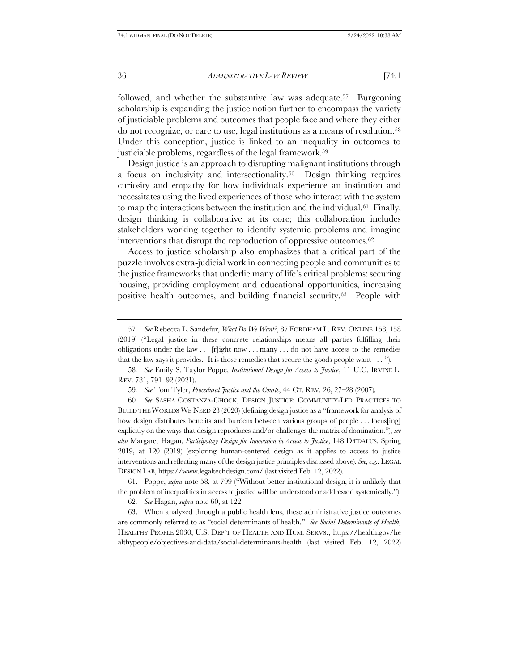followed, and whether the substantive law was adequate.57 Burgeoning scholarship is expanding the justice notion further to encompass the variety of justiciable problems and outcomes that people face and where they either do not recognize, or care to use, legal institutions as a means of resolution.<sup>58</sup> Under this conception, justice is linked to an inequality in outcomes to justiciable problems, regardless of the legal framework.<sup>59</sup>

<span id="page-13-1"></span><span id="page-13-0"></span>Design justice is an approach to disrupting malignant institutions through a focus on inclusivity and intersectionality.60 Design thinking requires curiosity and empathy for how individuals experience an institution and necessitates using the lived experiences of those who interact with the system to map the interactions between the institution and the individual.61 Finally, design thinking is collaborative at its core; this collaboration includes stakeholders working together to identify systemic problems and imagine interventions that disrupt the reproduction of oppressive outcomes.<sup>62</sup>

Access to justice scholarship also emphasizes that a critical part of the puzzle involves extra-judicial work in connecting people and communities to the justice frameworks that underlie many of life's critical problems: securing housing, providing employment and educational opportunities, increasing positive health outcomes, and building financial security.63 People with

59*. See* Tom Tyler, *Procedural Justice and the Courts*, 44 CT. REV. 26, 27–28 (2007).

60*. See* SASHA COSTANZA-CHOCK, DESIGN JUSTICE: COMMUNITY-LED PRACTICES TO BUILD THE WORLDS WE NEED 23 (2020) (defining design justice as a "framework for analysis of how design distributes benefits and burdens between various groups of people . . . focus[ing] explicitly on the ways that design reproduces and/or challenges the matrix of domination."); *see also* Margaret Hagan, *Participatory Design for Innovation in Access to Justice*, 148 DÆDALUS, Spring 2019, at 120 (2019) (exploring human-centered design as it applies to access to justice interventions and reflecting many of the design justice principles discussed above). *See, e.g.*, LEGAL DESIGN LAB, https://www.legaltechdesign.com/ (last visited Feb. 12, 2022).

61. Poppe, *supra* note [58](#page-13-0), at 799 ("Without better institutional design, it is unlikely that the problem of inequalities in access to justice will be understood or addressed systemically.").

62*. See* Hagan, *supra* not[e 60,](#page-13-1) at 122.

63. When analyzed through a public health lens, these administrative justice outcomes are commonly referred to as "social determinants of health." *See Social Determinants of Health*, HEALTHY PEOPLE 2030, U.S. DEP'T OF HEALTH AND HUM. SERVS., https://health.gov/he althypeople/objectives-and-data/social-determinants-health (last visited Feb. 12, 2022)

<sup>57</sup>*. See* Rebecca L. Sandefur, *What Do We Want?*, 87 FORDHAM L. REV. ONLINE 158, 158 (2019) ("Legal justice in these concrete relationships means all parties fulfilling their obligations under the law . . . [r]ight now . . . many . . . do not have access to the remedies that the law says it provides. It is those remedies that secure the goods people want . . . ").

<sup>58</sup>*. See* Emily S. Taylor Poppe, *Institutional Design for Access to Justice*, 11 U.C. IRVINE L. REV. 781, 791–92 (2021).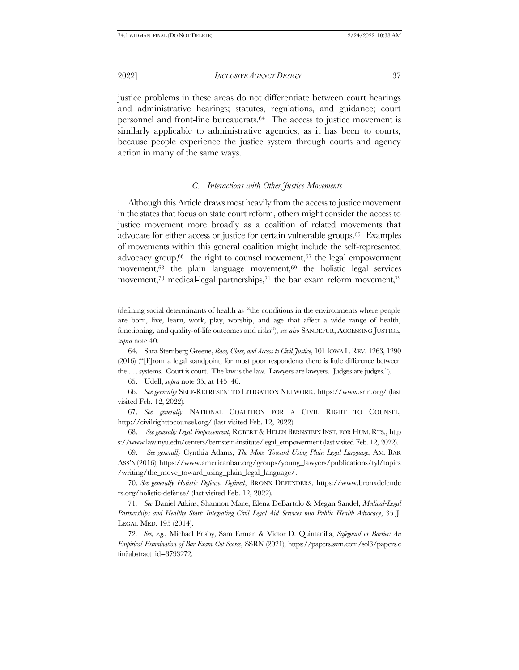justice problems in these areas do not differentiate between court hearings and administrative hearings; statutes, regulations, and guidance; court personnel and front-line bureaucrats.64 The access to justice movement is similarly applicable to administrative agencies, as it has been to courts, because people experience the justice system through courts and agency action in many of the same ways.

## *C. Interactions with Other Justice Movements*

Although this Article draws most heavily from the access to justice movement in the states that focus on state court reform, others might consider the access to justice movement more broadly as a coalition of related movements that advocate for either access or justice for certain vulnerable groups.65 Examples of movements within this general coalition might include the self-represented advocacy group,<sup>66</sup> the right to counsel movement,<sup>67</sup> the legal empowerment movement, $68$  the plain language movement, $69$  the holistic legal services movement,<sup>70</sup> medical-legal partnerships,<sup>71</sup> the bar exam reform movement,<sup>72</sup>

65. Udell, *supra* note [35,](#page-9-0) at 145–46.

66. *See generally* SELF-REPRESENTED LITIGATION NETWORK, https://www.srln.org/ (last visited Feb. 12, 2022).

67. *See generally* NATIONAL COALITION FOR A CIVIL RIGHT TO COUNSEL, http://civilrighttocounsel.org/ (last visited Feb. 12, 2022).

68. *See generally Legal Empowerment*, ROBERT & HELEN BERNSTEIN INST. FOR HUM. RTS., http s://www.law.nyu.edu/centers/bernstein-institute/legal\_empowerment (last visited Feb. 12, 2022).

69. *See generally* Cynthia Adams, *The Move Toward Using Plain Legal Language,* AM. BAR ASS'N (2016), https://www.americanbar.org/groups/young\_lawyers/publications/tyl/topics /writing/the\_move\_toward\_using\_plain\_legal\_language/.

70. *See generally Holistic Defense, Defined*, BRONX DEFENDERS, https://www.bronxdefende rs.org/holistic-defense/ (last visited Feb. 12, 2022).

71*. See* Daniel Atkins, Shannon Mace, Elena DeBartolo & Megan Sandel, *Medical-Legal Partnerships and Healthy Start: Integrating Civil Legal Aid Services into Public Health Advocacy*, 35 J. LEGAL MED. 195 (2014).

72*. See, e*.*g*., Michael Frisby, Sam Erman & Victor D. Quintanilla, *Safeguard or Barrier: An Empirical Examination of Bar Exam Cut Scores*, SSRN (2021), https://papers.ssrn.com/sol3/papers.c fm?abstract\_id=3793272.

<sup>(</sup>defining social determinants of health as "the conditions in the environments where people are born, live, learn, work, play, worship, and age that affect a wide range of health, functioning, and quality-of-life outcomes and risks"); *see also* SANDEFUR, ACCESSING JUSTICE, *supra* note [40.](#page-9-1)

<sup>64.</sup> Sara Sternberg Greene, *Race, Class, and Access to Civil Justice*, 101 IOWA L.REV. 1263, 1290 (2016) ("[F]rom a legal standpoint, for most poor respondents there is little difference between the . . . systems. Court is court. The law is the law. Lawyers are lawyers. Judges are judges.").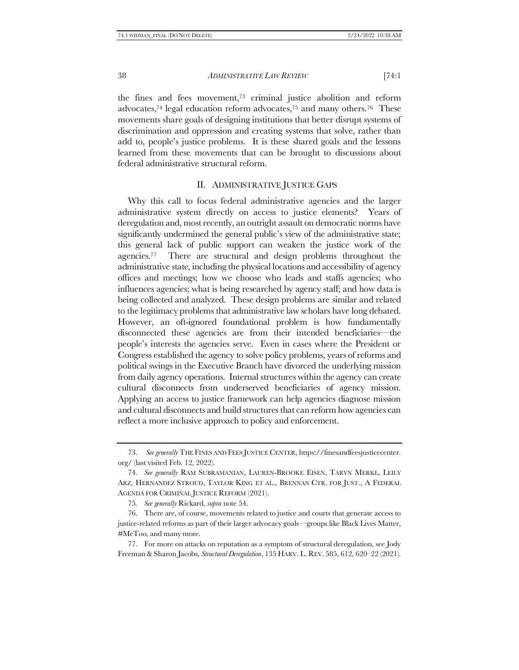the fines and fees movement,<sup>73</sup> criminal justice abolition and reform advocates,<sup>74</sup> legal education reform advocates,<sup>75</sup> and many others.76 These movements share goals of designing institutions that better disrupt systems of discrimination and oppression and creating systems that solve, rather than add to, people's justice problems. It is these shared goals and the lessons learned from these movements that can be brought to discussions about federal administrative structural reform.

#### II. ADMINISTRATIVE JUSTICE GAPS

<span id="page-15-0"></span>Why this call to focus federal administrative agencies and the larger administrative system directly on access to justice elements? Years of deregulation and, most recently, an outright assault on democratic norms have significantly undermined the general public's view of the administrative state; this general lack of public support can weaken the justice work of the agencies.77 There are structural and design problems throughout the administrative state, including the physical locations and accessibility of agency offices and meetings; how we choose who leads and staffs agencies; who influences agencies; what is being researched by agency staff; and how data is being collected and analyzed. These design problems are similar and related to the legitimacy problems that administrative law scholars have long debated. However, an oft-ignored foundational problem is how fundamentally disconnected these agencies are from their intended beneficiaries—the people's interests the agencies serve. Even in cases where the President or Congress established the agency to solve policy problems, years of reforms and political swings in the Executive Branch have divorced the underlying mission from daily agency operations. Internal structures within the agency can create cultural disconnects from underserved beneficiaries of agency mission. Applying an access to justice framework can help agencies diagnose mission and cultural disconnects and build structures that can reform how agencies can reflect a more inclusive approach to policy and enforcement.

<sup>73.</sup> *See generally* THE FINES AND FEES JUSTICE CENTER, https://finesandfeesjusticecenter. org/ (last visited Feb. 12, 2022).

<sup>74</sup>*. See generally* RAM SUBRAMANIAN, LAUREN-BROOKE EISEN, TARYN MERKL, LEILY ARZ, HERNANDEZ STROUD, TAYLOR KING ET AL., BRENNAN CTR. FOR JUST., A FEDERAL AGENDA FOR CRIMINAL JUSTICE REFORM (2021).

<sup>75</sup>*. See generally* Rickard, *supra* not[e 54.](#page-12-0)

<sup>76.</sup> There are, of course, movements related to justice and courts that generate access to justice-related reforms as part of their larger advocacy goals—groups like Black Lives Matter, #MeToo, and many more.

<sup>77.</sup> For more on attacks on reputation as a symptom of structural deregulation, see Jody Freeman & Sharon Jacobs, *Structural Deregulation*, 135 HARV. L. REV. 585, 612, 620–22 (2021).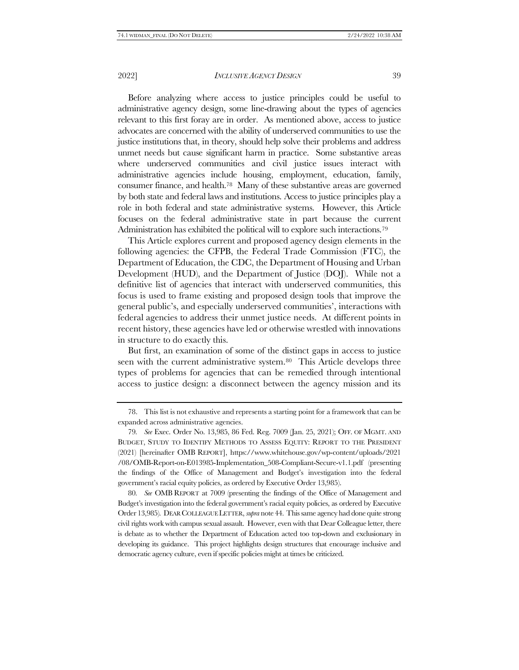Before analyzing where access to justice principles could be useful to administrative agency design, some line-drawing about the types of agencies relevant to this first foray are in order. As mentioned above, access to justice advocates are concerned with the ability of underserved communities to use the justice institutions that, in theory, should help solve their problems and address unmet needs but cause significant harm in practice. Some substantive areas where underserved communities and civil justice issues interact with administrative agencies include housing, employment, education, family, consumer finance, and health.78 Many of these substantive areas are governed by both state and federal laws and institutions. Access to justice principles play a role in both federal and state administrative systems. However, this Article focuses on the federal administrative state in part because the current Administration has exhibited the political will to explore such interactions.<sup>79</sup>

<span id="page-16-0"></span>This Article explores current and proposed agency design elements in the following agencies: the CFPB, the Federal Trade Commission (FTC), the Department of Education, the CDC, the Department of Housing and Urban Development (HUD), and the Department of Justice (DOJ). While not a definitive list of agencies that interact with underserved communities, this focus is used to frame existing and proposed design tools that improve the general public's, and especially underserved communities', interactions with federal agencies to address their unmet justice needs. At different points in recent history, these agencies have led or otherwise wrestled with innovations in structure to do exactly this.

But first, an examination of some of the distinct gaps in access to justice seen with the current administrative system.<sup>80</sup> This Article develops three types of problems for agencies that can be remedied through intentional access to justice design: a disconnect between the agency mission and its

80*. See* OMB REPORT at 7009 (presenting the findings of the Office of Management and Budget's investigation into the federal government's racial equity policies, as ordered by Executive Order 13,985). DEAR COLLEAGUE LETTER, *supra* not[e 44.](#page-10-1) This same agency had done quite strong civil rights work with campus sexual assault. However, even with that Dear Colleague letter, there is debate as to whether the Department of Education acted too top-down and exclusionary in developing its guidance. This project highlights design structures that encourage inclusive and democratic agency culture, even if specific policies might at times be criticized.

<sup>78.</sup> This list is not exhaustive and represents a starting point for a framework that can be expanded across administrative agencies.

<sup>79</sup>*. See* Exec. Order No. 13,985, 86 Fed. Reg. 7009 (Jan. 25, 2021); OFF. OF MGMT. AND BUDGET, STUDY TO IDENTIFY METHODS TO ASSESS EQUITY: REPORT TO THE PRESIDENT (2021) [hereinafter OMB REPORT], https://www.whitehouse.gov/wp-content/uploads/2021 /08/OMB-Report-on-E013985-Implementation\_508-Compliant-Secure-v1.1.pdf (presenting the findings of the Office of Management and Budget's investigation into the federal government's racial equity policies, as ordered by Executive Order 13,985).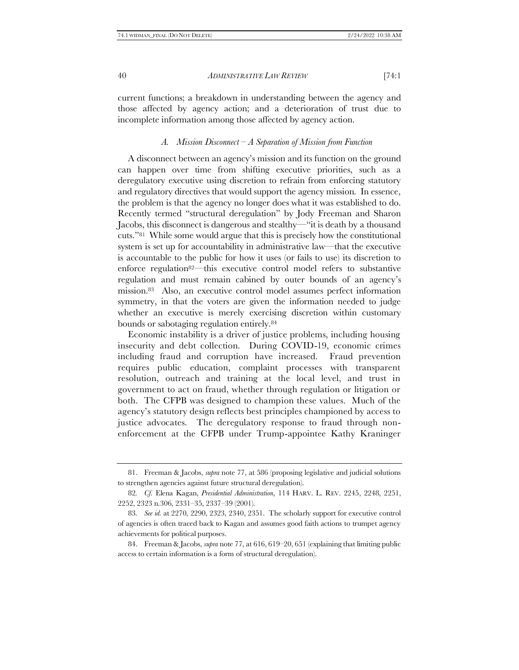current functions; a breakdown in understanding between the agency and those affected by agency action; and a deterioration of trust due to incomplete information among those affected by agency action.

### *A. Mission Disconnect – A Separation of Mission from Function*

A disconnect between an agency's mission and its function on the ground can happen over time from shifting executive priorities, such as a deregulatory executive using discretion to refrain from enforcing statutory and regulatory directives that would support the agency mission. In essence, the problem is that the agency no longer does what it was established to do. Recently termed "structural deregulation" by Jody Freeman and Sharon Jacobs, this disconnect is dangerous and stealthy—"it is death by a thousand cuts."81 While some would argue that this is precisely how the constitutional system is set up for accountability in administrative law—that the executive is accountable to the public for how it uses (or fails to use) its discretion to enforce regulation<sup>82</sup>—this executive control model refers to substantive regulation and must remain cabined by outer bounds of an agency's mission.83 Also, an executive control model assumes perfect information symmetry, in that the voters are given the information needed to judge whether an executive is merely exercising discretion within customary bounds or sabotaging regulation entirely.<sup>84</sup>

Economic instability is a driver of justice problems, including housing insecurity and debt collection. During COVID-19, economic crimes including fraud and corruption have increased. Fraud prevention requires public education, complaint processes with transparent resolution, outreach and training at the local level, and trust in government to act on fraud, whether through regulation or litigation or both. The CFPB was designed to champion these values. Much of the agency's statutory design reflects best principles championed by access to justice advocates. The deregulatory response to fraud through nonenforcement at the CFPB under Trump-appointee Kathy Kraninger

<sup>81.</sup> Freeman & Jacobs, *supra* note [77,](#page-15-0) at 586 (proposing legislative and judicial solutions to strengthen agencies against future structural deregulation).

<sup>82</sup>*. Cf.* Elena Kagan, *Presidential Administration*, 114 HARV. L. REV. 2245, 2248, 2251, 2252, 2323 n.306, 2331–35, 2337–39 (2001).

<sup>83</sup>*. See id.* at 2270, 2290, 2323, 2340, 2351. The scholarly support for executive control of agencies is often traced back to Kagan and assumes good faith actions to trumpet agency achievements for political purposes.

<sup>84.</sup> Freeman & Jacobs, *supra* note [77,](#page-15-0) at 616, 619–20, 651 (explaining that limiting public access to certain information is a form of structural deregulation).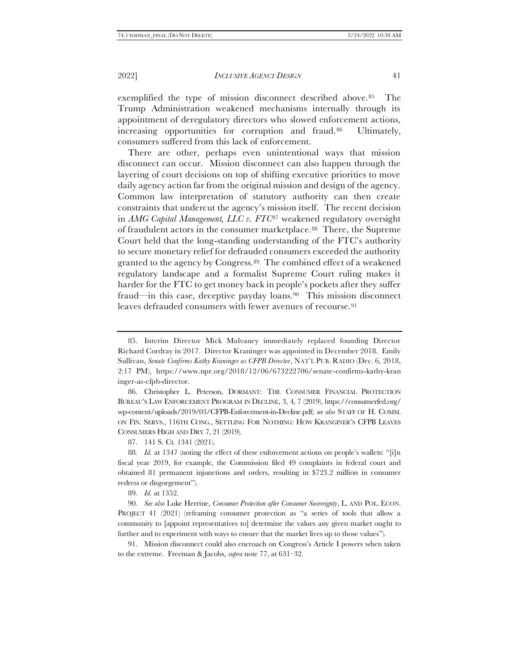exemplified the type of mission disconnect described above.85 The Trump Administration weakened mechanisms internally through its appointment of deregulatory directors who slowed enforcement actions, increasing opportunities for corruption and fraud.<sup>86</sup> Ultimately, consumers suffered from this lack of enforcement.

There are other, perhaps even unintentional ways that mission disconnect can occur. Mission disconnect can also happen through the layering of court decisions on top of shifting executive priorities to move daily agency action far from the original mission and design of the agency. Common law interpretation of statutory authority can then create constraints that undercut the agency's mission itself. The recent decision in *AMG Capital Management, LLC v. FTC*<sup>87</sup> weakened regulatory oversight of fraudulent actors in the consumer marketplace.88 There, the Supreme Court held that the long-standing understanding of the FTC's authority to secure monetary relief for defrauded consumers exceeded the authority granted to the agency by Congress.89 The combined effect of a weakened regulatory landscape and a formalist Supreme Court ruling makes it harder for the FTC to get money back in people's pockets after they suffer fraud—in this case, deceptive payday loans.<sup>90</sup> This mission disconnect leaves defrauded consumers with fewer avenues of recourse.<sup>91</sup>

86. Christopher L. Peterson, DORMANT: THE CONSUMER FINANCIAL PROTECTION BUREAU'S LAW ENFORCEMENT PROGRAM IN DECLINE, 3, 4, 7 (2019), https://consumerfed.org/ wp-content/uploads/2019/03/CFPB-Enforcement-in-Decline.pdf; *see also* STAFF OF H. COMM. ON FIN. SERVS., 116TH CONG., SETTLING FOR NOTHING: HOW KRANGINER'S CFPB LEAVES CONSUMERS HIGH AND DRY 7, 21 (2019).

89*. Id.* at 1352.

90*. See also* Luke Herrine, *Consumer Protection after Consumer Sovereignty*, L. AND POL. ECON. PROJECT 41 (2021) (reframing consumer protection as "a series of tools that allow a community to [appoint representatives to] determine the values any given market ought to further and to experiment with ways to ensure that the market lives up to those values").

91. Mission disconnect could also encroach on Congress's Article I powers when taken to the extreme. Freeman & Jacobs, *supra* not[e 77,](#page-15-0) at 631–32.

<sup>85.</sup> Interim Director Mick Mulvaney immediately replaced founding Director Richard Cordray in 2017. Director Kraninger was appointed in December 2018. Emily Sullivan, *Senate Confirms Kathy Kraninger as CFPB Director*, NAT'L PUB. RADIO (Dec. 6, 2018, 2:17 PM), https://www.npr.org/2018/12/06/673222706/senate-confirms-kathy-kran inger-as-cfpb-director.

<sup>87.</sup> 141 S. Ct. 1341 (2021).

<sup>88</sup>*. Id.* at 1347 (noting the effect of these enforcement actions on people's wallets: "[i]n fiscal year 2019, for example, the Commission filed 49 complaints in federal court and obtained 81 permanent injunctions and orders, resulting in \$723.2 million in consumer redress or disgorgement").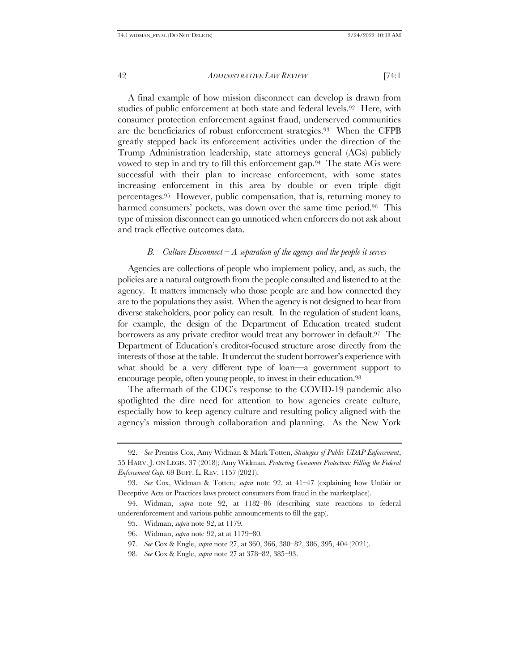<span id="page-19-0"></span>A final example of how mission disconnect can develop is drawn from studies of public enforcement at both state and federal levels.<sup>92</sup> Here, with consumer protection enforcement against fraud, underserved communities are the beneficiaries of robust enforcement strategies.93 When the CFPB greatly stepped back its enforcement activities under the direction of the Trump Administration leadership, state attorneys general (AGs) publicly vowed to step in and try to fill this enforcement gap.<sup>94</sup> The state AGs were successful with their plan to increase enforcement, with some states increasing enforcement in this area by double or even triple digit percentages.<sup>95</sup> However, public compensation, that is, returning money to harmed consumers' pockets, was down over the same time period.<sup>96</sup> This type of mission disconnect can go unnoticed when enforcers do not ask about and track effective outcomes data.

### *B. Culture Disconnect – A separation of the agency and the people it serves*

Agencies are collections of people who implement policy, and, as such, the policies are a natural outgrowth from the people consulted and listened to at the agency. It matters immensely who those people are and how connected they are to the populations they assist. When the agency is not designed to hear from diverse stakeholders, poor policy can result. In the regulation of student loans, for example, the design of the Department of Education treated student borrowers as any private creditor would treat any borrower in default.<sup>97</sup> The Department of Education's creditor-focused structure arose directly from the interests of those at the table. It undercut the student borrower's experience with what should be a very different type of loan—a government support to encourage people, often young people, to invest in their education.<sup>98</sup>

The aftermath of the CDC's response to the COVID-19 pandemic also spotlighted the dire need for attention to how agencies create culture, especially how to keep agency culture and resulting policy aligned with the agency's mission through collaboration and planning. As the New York

<sup>92.</sup> *See* Prentiss Cox, Amy Widman & Mark Totten, *Strategies of Public UDAP Enforcement*, 55 HARV. J. ON LEGIS. 37 (2018); Amy Widman, *Protecting Consumer Protection: Filling the Federal Enforcement Gap*, 69 BUFF. L. REV. 1157 (2021).

<sup>93.</sup> *See* Cox, Widman & Totten, *supra* note [92,](#page-19-0) at 41–47 (explaining how Unfair or Deceptive Acts or Practices laws protect consumers from fraud in the marketplace).

<sup>94.</sup> Widman, *supra* note [92,](#page-19-0) at 1182–86 (describing state reactions to federal underenforcement and various public announcements to fill the gap).

<sup>95.</sup> Widman, *supra* not[e 92,](#page-19-0) at 1179.

<sup>96.</sup> Widman, *supra* not[e 92,](#page-19-0) at at 1179–80.

<sup>97</sup>*. See* Cox & Engle, *supra* not[e 27,](#page-7-2) at 360, 366, 380–82, 386, 395, 404 (2021).

<sup>98</sup>*. See* Cox & Engle, *supra* not[e 27](#page-7-2) at 378–82, 385–93.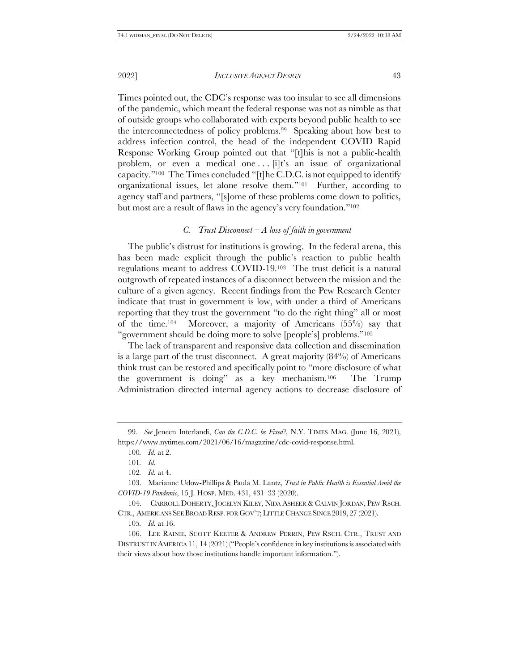2022] *INCLUSIVE AGENCY DESIGN* 43

Times pointed out, the CDC's response was too insular to see all dimensions of the pandemic, which meant the federal response was not as nimble as that of outside groups who collaborated with experts beyond public health to see the interconnectedness of policy problems.99 Speaking about how best to address infection control, the head of the independent COVID Rapid Response Working Group pointed out that "[t]his is not a public-health problem, or even a medical one ... [i]t's an issue of organizational capacity."100 The Times concluded "[t]he C.D.C. is not equipped to identify organizational issues, let alone resolve them."101 Further, according to agency staff and partners, "[s]ome of these problems come down to politics, but most are a result of flaws in the agency's very foundation."<sup>102</sup>

## *C. Trust Disconnect – A loss of faith in government*

<span id="page-20-0"></span>The public's distrust for institutions is growing. In the federal arena, this has been made explicit through the public's reaction to public health regulations meant to address COVID-19.103 The trust deficit is a natural outgrowth of repeated instances of a disconnect between the mission and the culture of a given agency. Recent findings from the Pew Research Center indicate that trust in government is low, with under a third of Americans reporting that they trust the government "to do the right thing" all or most of the time.104 Moreover, a majority of Americans (55%) say that "government should be doing more to solve [people's] problems."<sup>105</sup>

The lack of transparent and responsive data collection and dissemination is a large part of the trust disconnect. A great majority (84%) of Americans think trust can be restored and specifically point to "more disclosure of what the government is doing" as a key mechanism.106 The Trump Administration directed internal agency actions to decrease disclosure of

105*. Id.* at 16.

<sup>99</sup>*. See* Jeneen Interlandi, *Can the C.D.C. be Fixed?*, N.Y. TIMES MAG. (June 16, 2021), https://www.nytimes.com/2021/06/16/magazine/cdc-covid-response.html.

<sup>100</sup>*. Id.* at 2.

<sup>101</sup>*. Id.*

<sup>102</sup>*. Id.* at 4.

<sup>103.</sup> Marianne Udow-Phillips & Paula M. Lantz, *Trust in Public Health is Essential Amid the COVID-19 Pandemic*, 15 J. HOSP. MED. 431, 431–33 (2020).

<sup>104.</sup> CARROLL DOHERTY, JOCELYN KILEY, NIDA ASHEER & CALVIN JORDAN, PEW RSCH. CTR., AMERICANS SEE BROAD RESP. FOR GOV'T;LITTLE CHANGE SINCE 2019, 27 (2021).

<sup>106.</sup> LEE RAINIE, SCOTT KEETER & ANDREW PERRIN, PEW RSCH. CTR., TRUST AND DISTRUST IN AMERICA 11, 14 (2021) ("People's confidence in key institutions is associated with their views about how those institutions handle important information.").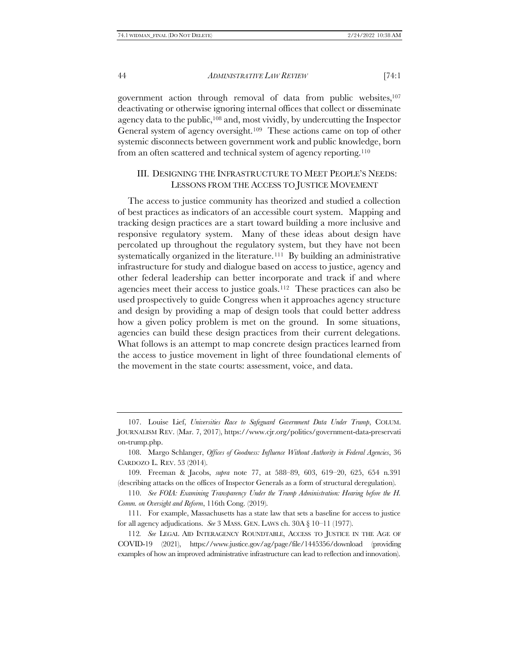government action through removal of data from public websites,<sup>107</sup> deactivating or otherwise ignoring internal offices that collect or disseminate agency data to the public,<sup>108</sup> and, most vividly, by undercutting the Inspector General system of agency oversight.109 These actions came on top of other systemic disconnects between government work and public knowledge, born from an often scattered and technical system of agency reporting.<sup>110</sup>

## <span id="page-21-2"></span><span id="page-21-1"></span><span id="page-21-0"></span>III. DESIGNING THE INFRASTRUCTURE TO MEET PEOPLE'S NEEDS: LESSONS FROM THE ACCESS TO JUSTICE MOVEMENT

The access to justice community has theorized and studied a collection of best practices as indicators of an accessible court system. Mapping and tracking design practices are a start toward building a more inclusive and responsive regulatory system. Many of these ideas about design have percolated up throughout the regulatory system, but they have not been systematically organized in the literature.<sup>111</sup> By building an administrative infrastructure for study and dialogue based on access to justice, agency and other federal leadership can better incorporate and track if and where agencies meet their access to justice goals.112 These practices can also be used prospectively to guide Congress when it approaches agency structure and design by providing a map of design tools that could better address how a given policy problem is met on the ground. In some situations, agencies can build these design practices from their current delegations. What follows is an attempt to map concrete design practices learned from the access to justice movement in light of three foundational elements of the movement in the state courts: assessment, voice, and data.

<sup>107.</sup> Louise Lief, *Universities Race to Safeguard Government Data Under Trump*, COLUM. JOURNALISM REV. (Mar. 7, 2017), https://www.cjr.org/politics/government-data-preservati on-trump.php.

<sup>108.</sup> Margo Schlanger, *Offices of Goodness: Influence Without Authority in Federal Agencies*, 36 CARDOZO L. REV. 53 (2014).

<sup>109.</sup> Freeman & Jacobs, *supra* note [77,](#page-15-0) at 588–89, 603, 619–20, 625, 654 n.391 (describing attacks on the offices of Inspector Generals as a form of structural deregulation).

<sup>110.</sup> *See FOIA: Examining Transparency Under the Trump Administration: Hearing before the H. Comm. on Oversight and Reform*, 116th Cong. (2019).

<sup>111.</sup> For example, Massachusetts has a state law that sets a baseline for access to justice for all agency adjudications. *See* 3 MASS. GEN. LAWS ch. 30A § 10–11 (1977).

<sup>112</sup>*. See* LEGAL AID INTERAGENCY ROUNDTABLE, ACCESS TO JUSTICE IN THE AGE OF COVID-19 (2021), https://www.justice.gov/ag/page/file/1445356/download (providing examples of how an improved administrative infrastructure can lead to reflection and innovation).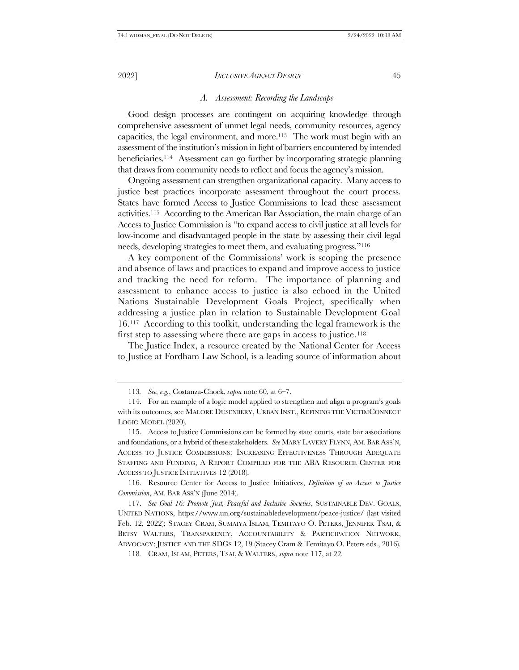## *A. Assessment: Recording the Landscape*

Good design processes are contingent on acquiring knowledge through comprehensive assessment of unmet legal needs, community resources, agency capacities, the legal environment, and more.113 The work must begin with an assessment of the institution's mission in light of barriers encountered by intended beneficiaries.114 Assessment can go further by incorporating strategic planning that draws from community needs to reflect and focus the agency's mission.

<span id="page-22-1"></span>Ongoing assessment can strengthen organizational capacity. Many access to justice best practices incorporate assessment throughout the court process. States have formed Access to Justice Commissions to lead these assessment activities.115 According to the American Bar Association, the main charge of an Access to Justice Commission is "to expand access to civil justice at all levels for low-income and disadvantaged people in the state by assessing their civil legal needs, developing strategies to meet them, and evaluating progress."<sup>116</sup>

A key component of the Commissions' work is scoping the presence and absence of laws and practices to expand and improve access to justice and tracking the need for reform. The importance of planning and assessment to enhance access to justice is also echoed in the United Nations Sustainable Development Goals Project, specifically when addressing a justice plan in relation to Sustainable Development Goal 16.117 According to this toolkit, understanding the legal framework is the first step to assessing where there are gaps in access to justice.<sup>118</sup>

<span id="page-22-0"></span>The Justice Index, a resource created by the National Center for Access to Justice at Fordham Law School, is a leading source of information about

116. Resource Center for Access to Justice Initiatives, *Definition of an Access to Justice Commission*, AM. BAR ASS'N (June 2014).

117. *See Goal 16: Promote Just, Peaceful and Inclusive Societies*, SUSTAINABLE DEV. GOALS, UNITED NATIONS, https://www.un.org/sustainabledevelopment/peace-justice/ (last visited Feb. 12, 2022); STACEY CRAM, SUMAIYA ISLAM, TEMITAYO O. PETERS, JENNIFER TSAI, & BETSY WALTERS, TRANSPARENCY, ACCOUNTABILITY & PARTICIPATION NETWORK, ADVOCACY: JUSTICE AND THE SDGS 12, 19 (Stacey Cram & Temitayo O. Peters eds., 2016).

118*.* CRAM, ISLAM, PETERS, TSAI,& WALTERS, *supra* not[e 117,](#page-22-0) at 22.

<sup>113</sup>*. See, e.g.*, Costanza-Chock, *supra* not[e 60,](#page-13-1) at 6–7.

<sup>114.</sup> For an example of a logic model applied to strengthen and align a program's goals with its outcomes, see MALORE DUSENBERY, URBAN INST., REFINING THE VICTIMCONNECT LOGIC MODEL (2020).

<sup>115.</sup> Access to Justice Commissions can be formed by state courts, state bar associations and foundations, or a hybrid of these stakeholders. *See* MARY LAVERY FLYNN, AM.BAR ASS'N, ACCESS TO JUSTICE COMMISSIONS: INCREASING EFFECTIVENESS THROUGH ADEQUATE STAFFING AND FUNDING, A REPORT COMPILED FOR THE ABA RESOURCE CENTER FOR ACCESS TO JUSTICE INITIATIVES 12 (2018).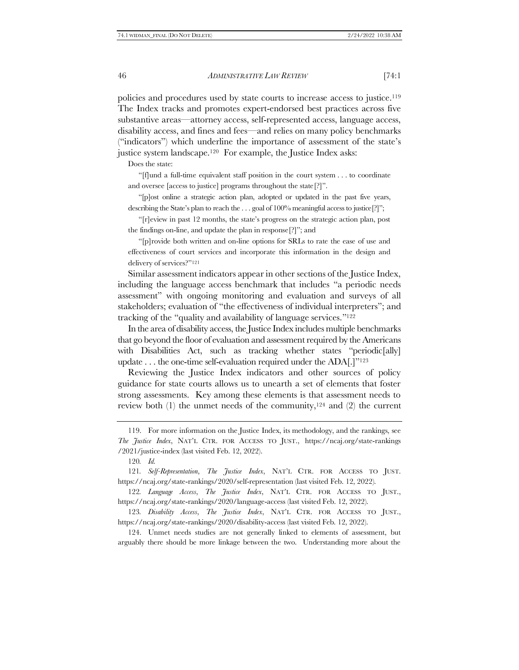policies and procedures used by state courts to increase access to justice.<sup>119</sup> The Index tracks and promotes expert-endorsed best practices across five substantive areas—attorney access, self-represented access, language access, disability access, and fines and fees—and relies on many policy benchmarks ("indicators") which underline the importance of assessment of the state's justice system landscape.120 For example, the Justice Index asks:

<span id="page-23-1"></span>Does the state:

"[f]und a full-time equivalent staff position in the court system . . . to coordinate and oversee [access to justice] programs throughout the state[?]".

"[p]ost online a strategic action plan, adopted or updated in the past five years, describing the State's plan to reach the ... goal of 100% meaningful access to justice<sup>[?]"</sup>;

"[r]eview in past 12 months, the state's progress on the strategic action plan, post the findings on-line, and update the plan in response[?]"; and

<span id="page-23-0"></span>"[p]rovide both written and on-line options for SRLs to rate the ease of use and effectiveness of court services and incorporate this information in the design and delivery of services?"<sup>121</sup>

Similar assessment indicators appear in other sections of the Justice Index, including the language access benchmark that includes "a periodic needs assessment" with ongoing monitoring and evaluation and surveys of all stakeholders; evaluation of "the effectiveness of individual interpreters"; and tracking of the "quality and availability of language services."<sup>122</sup>

In the area of disability access, the Justice Index includes multiple benchmarks that go beyond the floor of evaluation and assessment required by the Americans with Disabilities Act, such as tracking whether states "periodic[ally] update  $\dots$  the one-time self-evaluation required under the ADA[.]"<sup>123</sup>

Reviewing the Justice Index indicators and other sources of policy guidance for state courts allows us to unearth a set of elements that foster strong assessments. Key among these elements is that assessment needs to review both  $(1)$  the unmet needs of the community,<sup>124</sup> and  $(2)$  the current

<sup>119.</sup> For more information on the Justice Index, its methodology, and the rankings, see *The Justice Index*, NAT'L CTR. FOR ACCESS TO JUST., https://ncaj.org/state-rankings /2021/justice-index (last visited Feb. 12, 2022).

<sup>120</sup>*. Id.*

<sup>121</sup>*. Self-Representation*, *The Justice Index*, NAT'L CTR. FOR ACCESS TO JUST. https://ncaj.org/state-rankings/2020/self-representation (last visited Feb. 12, 2022).

<sup>122</sup>*. Language Access*, *The Justice Index*, NAT'L CTR. FOR ACCESS TO JUST., https://ncaj.org/state-rankings/2020/language-access (last visited Feb. 12, 2022).

<sup>123</sup>*. Disability Access*, *The Justice Index*, NAT'L CTR. FOR ACCESS TO JUST., https://ncaj.org/state-rankings/2020/disability-access (last visited Feb. 12, 2022).

<sup>124.</sup> Unmet needs studies are not generally linked to elements of assessment, but arguably there should be more linkage between the two. Understanding more about the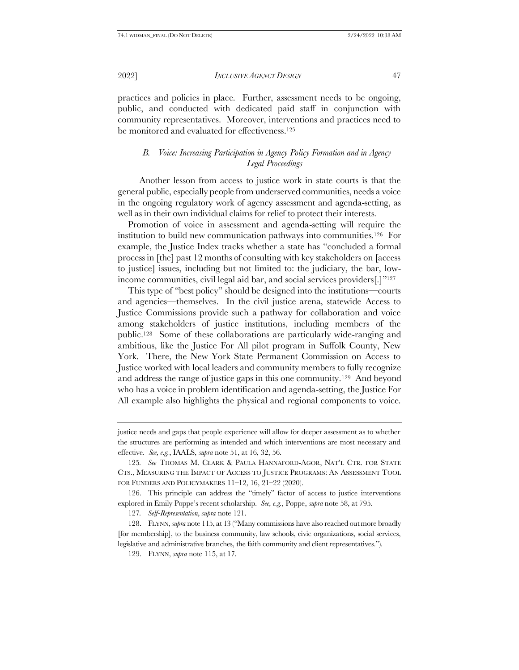practices and policies in place. Further, assessment needs to be ongoing, public, and conducted with dedicated paid staff in conjunction with community representatives. Moreover, interventions and practices need to be monitored and evaluated for effectiveness. 125

## *B. Voice: Increasing Participation in Agency Policy Formation and in Agency Legal Proceedings*

 Another lesson from access to justice work in state courts is that the general public, especially people from underserved communities, needs a voice in the ongoing regulatory work of agency assessment and agenda-setting, as well as in their own individual claims for relief to protect their interests.

Promotion of voice in assessment and agenda-setting will require the institution to build new communication pathways into communities.126 For example, the Justice Index tracks whether a state has "concluded a formal process in [the] past 12 months of consulting with key stakeholders on [access to justice] issues, including but not limited to: the judiciary, the bar, lowincome communities, civil legal aid bar, and social services providers[.]"<sup>127</sup>

This type of "best policy" should be designed into the institutions—courts and agencies—themselves. In the civil justice arena, statewide Access to Justice Commissions provide such a pathway for collaboration and voice among stakeholders of justice institutions, including members of the public.128 Some of these collaborations are particularly wide-ranging and ambitious, like the Justice For All pilot program in Suffolk County, New York. There, the New York State Permanent Commission on Access to Justice worked with local leaders and community members to fully recognize and address the range of justice gaps in this one community.129 And beyond who has a voice in problem identification and agenda-setting, the Justice For All example also highlights the physical and regional components to voice.

127*. Self-Representation*, *supra* note [121.](#page-23-0)

129. FLYNN, *supra* note [115,](#page-22-1) at 17.

justice needs and gaps that people experience will allow for deeper assessment as to whether the structures are performing as intended and which interventions are most necessary and effective. *See, e.g.*, IAALS, *supra* not[e 51,](#page-11-0) at 16, 32, 56.

<sup>125</sup>*. See* THOMAS M. CLARK & PAULA HANNAFORD-AGOR, NAT'L CTR. FOR STATE CTS., MEASURING THE IMPACT OF ACCESS TO JUSTICE PROGRAMS: AN ASSESSMENT TOOL FOR FUNDERS AND POLICYMAKERS 11–12, 16, 21–22 (2020).

<sup>126.</sup> This principle can address the "timely" factor of access to justice interventions explored in Emily Poppe's recent scholarship. *See, e.g.*, Poppe, *supra* not[e 58,](#page-13-0) at 795.

<sup>128.</sup> FLYNN, *supra* not[e 115](#page-22-1), at 13 ("Many commissions have also reached out more broadly [for membership], to the business community, law schools, civic organizations, social services, legislative and administrative branches, the faith community and client representatives.").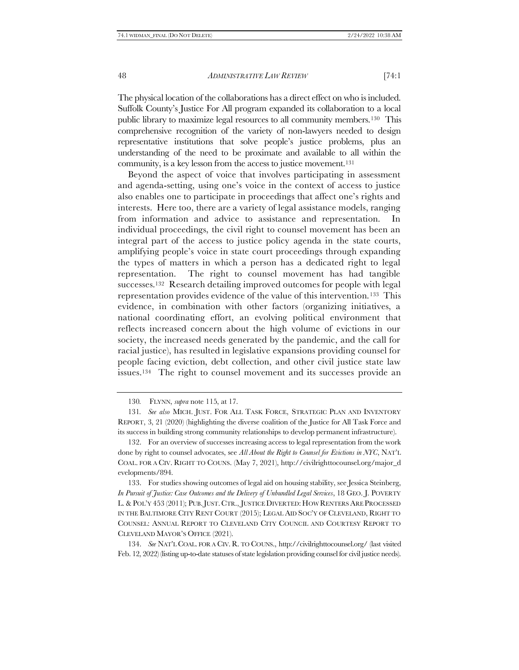The physical location of the collaborations has a direct effect on who is included. Suffolk County's Justice For All program expanded its collaboration to a local public library to maximize legal resources to all community members.130 This comprehensive recognition of the variety of non-lawyers needed to design representative institutions that solve people's justice problems, plus an understanding of the need to be proximate and available to all within the community, is a key lesson from the access to justice movement.<sup>131</sup>

Beyond the aspect of voice that involves participating in assessment and agenda-setting, using one's voice in the context of access to justice also enables one to participate in proceedings that affect one's rights and interests. Here too, there are a variety of legal assistance models, ranging from information and advice to assistance and representation. In individual proceedings, the civil right to counsel movement has been an integral part of the access to justice policy agenda in the state courts, amplifying people's voice in state court proceedings through expanding the types of matters in which a person has a dedicated right to legal representation. The right to counsel movement has had tangible successes.132 Research detailing improved outcomes for people with legal representation provides evidence of the value of this intervention.133 This evidence, in combination with other factors (organizing initiatives, a national coordinating effort, an evolving political environment that reflects increased concern about the high volume of evictions in our society, the increased needs generated by the pandemic, and the call for racial justice), has resulted in legislative expansions providing counsel for people facing eviction, debt collection, and other civil justice state law issues.134 The right to counsel movement and its successes provide an

<sup>130</sup>*.* FLYNN, *supra* not[e 115,](#page-22-1) at 17.

<sup>131</sup>*. See also* MICH. JUST. FOR ALL TASK FORCE, STRATEGIC PLAN AND INVENTORY REPORT, 3, 21 (2020) (highlighting the diverse coalition of the Justice for All Task Force and its success in building strong community relationships to develop permanent infrastructure).

<sup>132.</sup> For an overview of successes increasing access to legal representation from the work done by right to counsel advocates, see *All About the Right to Counsel for Evictions in NYC*, NAT'L COAL. FOR A CIV. RIGHT TO COUNS. (May 7, 2021), http://civilrighttocounsel.org/major\_d evelopments/894.

<sup>133.</sup> For studies showing outcomes of legal aid on housing stability, see Jessica Steinberg, *In Pursuit of Justice: Case Outcomes and the Delivery of Unbundled Legal Services*, 18 GEO. J. POVERTY L. & POL'Y 453 (2011); PUB.JUST. CTR., JUSTICE DIVERTED: HOW RENTERS ARE PROCESSED IN THE BALTIMORE CITY RENT COURT (2015); LEGAL AID SOC'Y OF CLEVELAND, RIGHT TO COUNSEL: ANNUAL REPORT TO CLEVELAND CITY COUNCIL AND COURTESY REPORT TO CLEVELAND MAYOR'S OFFICE (2021).

<sup>134.</sup> *See* NAT'L COAL. FOR A CIV. R. TO COUNS., http://civilrighttocounsel.org/ (last visited Feb. 12, 2022) (listing up-to-date statuses of state legislation providing counsel for civil justice needs).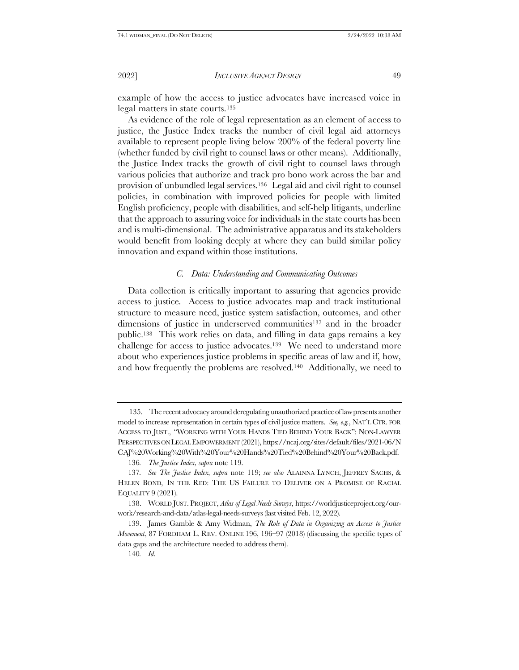example of how the access to justice advocates have increased voice in legal matters in state courts.<sup>135</sup>

As evidence of the role of legal representation as an element of access to justice, the Justice Index tracks the number of civil legal aid attorneys available to represent people living below 200% of the federal poverty line (whether funded by civil right to counsel laws or other means). Additionally, the Justice Index tracks the growth of civil right to counsel laws through various policies that authorize and track pro bono work across the bar and provision of unbundled legal services.136 Legal aid and civil right to counsel policies, in combination with improved policies for people with limited English proficiency, people with disabilities, and self-help litigants, underline that the approach to assuring voice for individuals in the state courts has been and is multi-dimensional. The administrative apparatus and its stakeholders would benefit from looking deeply at where they can build similar policy innovation and expand within those institutions.

## <span id="page-26-0"></span>*C. Data: Understanding and Communicating Outcomes*

Data collection is critically important to assuring that agencies provide access to justice. Access to justice advocates map and track institutional structure to measure need, justice system satisfaction, outcomes, and other dimensions of justice in underserved communities<sup>137</sup> and in the broader public.138 This work relies on data, and filling in data gaps remains a key challenge for access to justice advocates.139 We need to understand more about who experiences justice problems in specific areas of law and if, how, and how frequently the problems are resolved.140 Additionally, we need to

<sup>135.</sup> The recent advocacy around deregulating unauthorized practice of law presents another model to increase representation in certain types of civil justice matters. *See, e.g.*, NAT'L CTR. FOR ACCESS TO JUST., "WORKING WITH YOUR HANDS TIED BEHIND YOUR BACK": NON-LAWYER PERSPECTIVES ON LEGAL EMPOWERMENT (2021), https://ncaj.org/sites/default/files/2021-06/N CAJ%20Working%20With%20Your%20Hands%20Tied%20Behind%20Your%20Back.pdf.

<sup>136</sup>*. The Justice Index*, *supra* not[e 119.](#page-23-1) 

<sup>137</sup>*. See The Justice Index*, *supra* note [119;](#page-23-1) *see also* ALAINNA LYNCH, JEFFREY SACHS, & HELEN BOND, IN THE RED: THE US FAILURE TO DELIVER ON A PROMISE OF RACIAL EQUALITY 9 (2021).

<sup>138.</sup> WORLD JUST. PROJECT, *Atlas of Legal Needs Surveys*, https://worldjusticeproject.org/ourwork/research-and-data/atlas-legal-needs-surveys (last visited Feb. 12, 2022).

<sup>139.</sup> James Gamble & Amy Widman, *The Role of Data in Organizing an Access to Justice Movement*, 87 FORDHAM L. REV. ONLINE 196, 196–97 (2018) (discussing the specific types of data gaps and the architecture needed to address them).

<sup>140</sup>*. Id.*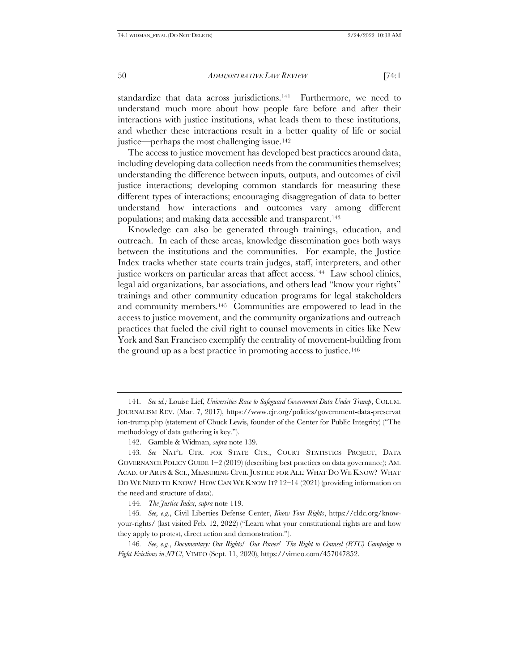standardize that data across jurisdictions.141 Furthermore, we need to understand much more about how people fare before and after their interactions with justice institutions, what leads them to these institutions, and whether these interactions result in a better quality of life or social justice—perhaps the most challenging issue.<sup>142</sup>

The access to justice movement has developed best practices around data, including developing data collection needs from the communities themselves; understanding the difference between inputs, outputs, and outcomes of civil justice interactions; developing common standards for measuring these different types of interactions; encouraging disaggregation of data to better understand how interactions and outcomes vary among different populations; and making data accessible and transparent.<sup>143</sup>

Knowledge can also be generated through trainings, education, and outreach. In each of these areas, knowledge dissemination goes both ways between the institutions and the communities. For example, the Justice Index tracks whether state courts train judges, staff, interpreters, and other justice workers on particular areas that affect access.<sup>144</sup> Law school clinics, legal aid organizations, bar associations, and others lead "know your rights" trainings and other community education programs for legal stakeholders and community members.145 Communities are empowered to lead in the access to justice movement, and the community organizations and outreach practices that fueled the civil right to counsel movements in cities like New York and San Francisco exemplify the centrality of movement-building from the ground up as a best practice in promoting access to justice.<sup>146</sup>

144*. The Justice Index*, *supra* not[e 119.](#page-23-1)

<sup>141</sup>*. See id.;* Louise Lief, *Universities Race to Safeguard Government Data Under Trump*, COLUM. JOURNALISM REV. (Mar. 7, 2017), https://www.cjr.org/politics/government-data-preservat ion-trump.php (statement of Chuck Lewis, founder of the Center for Public Integrity) ("The methodology of data gathering is key.").

<sup>142.</sup> Gamble & Widman, *supra* not[e 139.](#page-26-0)

<sup>143</sup>*. See* NAT'L CTR. FOR STATE CTS., COURT STATISTICS PROJECT, DATA GOVERNANCE POLICY GUIDE  $1-2$  (2019) (describing best practices on data governance); AM. ACAD. OF ARTS & SCI., MEASURING CIVIL JUSTICE FOR ALL: WHAT DO WE KNOW? WHAT DO WE NEED TO KNOW? HOW CAN WE KNOW IT? 12–14 (2021) (providing information on the need and structure of data).

<sup>145</sup>*. See, e.g.*, Civil Liberties Defense Center, *Know Your Rights*, https://cldc.org/knowyour-rights/ (last visited Feb. 12, 2022) ("Learn what your constitutional rights are and how they apply to protest, direct action and demonstration.").

<sup>146</sup>*. See, e.g.*, *Documentary: Our Rights! Our Power! The Right to Counsel (RTC) Campaign to Fight Evictions in NYC!*, VIMEO (Sept. 11, 2020), https://vimeo.com/457047852.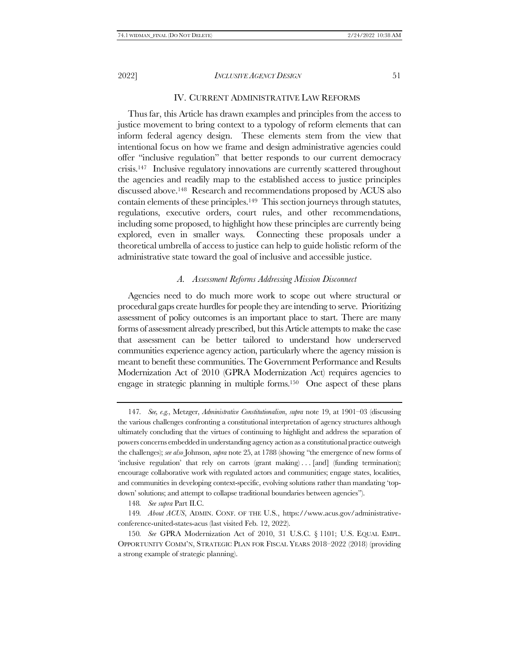## IV. CURRENT ADMINISTRATIVE LAW REFORMS

Thus far, this Article has drawn examples and principles from the access to justice movement to bring context to a typology of reform elements that can inform federal agency design. These elements stem from the view that intentional focus on how we frame and design administrative agencies could offer "inclusive regulation" that better responds to our current democracy crisis.<sup>147</sup>Inclusive regulatory innovations are currently scattered throughout the agencies and readily map to the established access to justice principles discussed above.148 Research and recommendations proposed by ACUS also contain elements of these principles.149 This section journeys through statutes, regulations, executive orders, court rules, and other recommendations, including some proposed, to highlight how these principles are currently being explored, even in smaller ways. Connecting these proposals under a theoretical umbrella of access to justice can help to guide holistic reform of the administrative state toward the goal of inclusive and accessible justice.

#### *A. Assessment Reforms Addressing Mission Disconnect*

Agencies need to do much more work to scope out where structural or procedural gaps create hurdles for people they are intending to serve. Prioritizing assessment of policy outcomes is an important place to start. There are many forms of assessment already prescribed, but this Article attempts to make the case that assessment can be better tailored to understand how underserved communities experience agency action, particularly where the agency mission is meant to benefit these communities. The Government Performance and Results Modernization Act of 2010 (GPRA Modernization Act) requires agencies to engage in strategic planning in multiple forms.150 One aspect of these plans

148*. See supra* Part I[I.C.](#page-20-0)

149*. About ACUS*, ADMIN. CONF. OF THE U.S., https://www.acus.gov/administrativeconference-united-states-acus (last visited Feb. 12, 2022).

<sup>147</sup>*. See, e.g.*, Metzger, *Administrative Constitutionalism*, *supra* note [19,](#page-6-0) at 1901–03 (discussing the various challenges confronting a constitutional interpretation of agency structures although ultimately concluding that the virtues of continuing to highlight and address the separation of powers concerns embedded in understanding agency action as a constitutional practice outweigh the challenges); *see also* Johnson, *supra* not[e 25,](#page-7-3) at 1788 (showing "the emergence of new forms of 'inclusive regulation' that rely on carrots (grant making) . . . [and] (funding termination); encourage collaborative work with regulated actors and communities; engage states, localities, and communities in developing context-specific, evolving solutions rather than mandating 'topdown' solutions; and attempt to collapse traditional boundaries between agencies").

<sup>150</sup>*. See* GPRA Modernization Act of 2010, 31 U.S.C. § 1101; U.S. EQUAL EMPL. OPPORTUNITY COMM'N, STRATEGIC PLAN FOR FISCAL YEARS 2018–2022 (2018) (providing a strong example of strategic planning).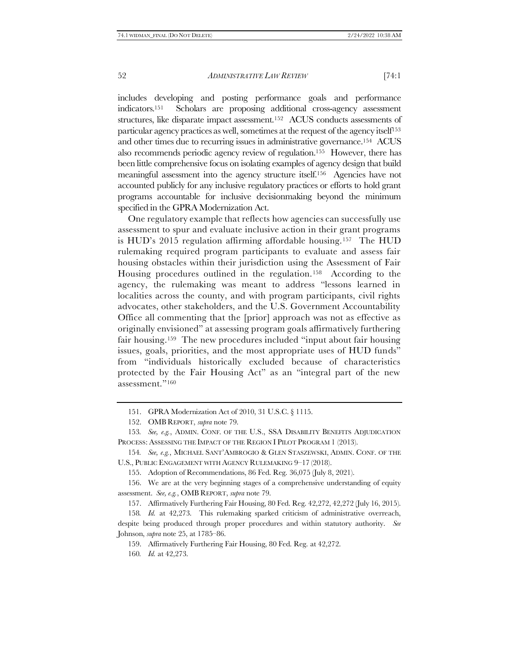<span id="page-29-0"></span>includes developing and posting performance goals and performance indicators.151 Scholars are proposing additional cross-agency assessment structures, like disparate impact assessment.152 ACUS conducts assessments of particular agency practices as well, sometimes at the request of the agency itself<sup>153</sup> and other times due to recurring issues in administrative governance.<sup>154</sup> ACUS also recommends periodic agency review of regulation.155 However, there has been little comprehensive focus on isolating examples of agency design that build meaningful assessment into the agency structure itself.156 Agencies have not accounted publicly for any inclusive regulatory practices or efforts to hold grant programs accountable for inclusive decisionmaking beyond the minimum specified in the GPRA Modernization Act.

One regulatory example that reflects how agencies can successfully use assessment to spur and evaluate inclusive action in their grant programs is HUD's 2015 regulation affirming affordable housing.157 The HUD rulemaking required program participants to evaluate and assess fair housing obstacles within their jurisdiction using the Assessment of Fair Housing procedures outlined in the regulation.158 According to the agency, the rulemaking was meant to address "lessons learned in localities across the county, and with program participants, civil rights advocates, other stakeholders, and the U.S. Government Accountability Office all commenting that the [prior] approach was not as effective as originally envisioned" at assessing program goals affirmatively furthering fair housing.<sup>159</sup> The new procedures included "input about fair housing issues, goals, priorities, and the most appropriate uses of HUD funds" from "individuals historically excluded because of characteristics protected by the Fair Housing Act" as an "integral part of the new assessment."<sup>160</sup>

154*. See, e.g.*, MICHAEL SANT'AMBROGIO & GLEN STASZEWSKI, ADMIN. CONF. OF THE U.S., PUBLIC ENGAGEMENT WITH AGENCY RULEMAKING 9–17 (2018).

155. Adoption of Recommendations, 86 Fed. Reg. 36,075 (July 8, 2021).

156. We are at the very beginning stages of a comprehensive understanding of equity assessment. *See, e.g.*, OMB REPORT, *supra* not[e 79.](#page-16-0)

157. Affirmatively Furthering Fair Housing, 80 Fed. Reg. 42,272, 42,272 (July 16, 2015).

158*. Id.* at 42,273. This rulemaking sparked criticism of administrative overreach, despite being produced through proper procedures and within statutory authority. *See* Johnson, *supra* not[e 25,](#page-7-3) at 1785–86.

159. Affirmatively Furthering Fair Housing, 80 Fed. Reg. at 42,272.

160*. Id.* at 42,273.

<sup>151.</sup> GPRA Modernization Act of 2010, 31 U.S.C. § 1115.

<sup>152.</sup> OMB REPORT, *supra* not[e 79.](#page-16-0)

<sup>153</sup>*. See, e.g.*, ADMIN. CONF. OF THE U.S., SSA DISABILITY BENEFITS ADJUDICATION PROCESS: ASSESSING THE IMPACT OF THE REGION I PILOT PROGRAM 1 (2013).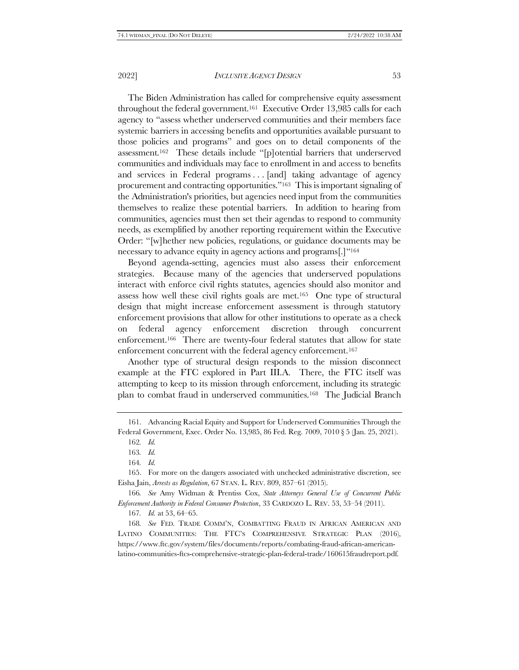The Biden Administration has called for comprehensive equity assessment throughout the federal government.161 Executive Order 13,985 calls for each agency to "assess whether underserved communities and their members face systemic barriers in accessing benefits and opportunities available pursuant to those policies and programs" and goes on to detail components of the assessment.<sup>162</sup> These details include "[p]otential barriers that underserved communities and individuals may face to enrollment in and access to benefits and services in Federal programs ... [and] taking advantage of agency procurement and contracting opportunities."163 This is important signaling of the Administration's priorities, but agencies need input from the communities themselves to realize these potential barriers. In addition to hearing from communities, agencies must then set their agendas to respond to community needs, as exemplified by another reporting requirement within the Executive Order: "[w]hether new policies, regulations, or guidance documents may be necessary to advance equity in agency actions and programs[.]"<sup>164</sup>

Beyond agenda-setting, agencies must also assess their enforcement strategies. Because many of the agencies that underserved populations interact with enforce civil rights statutes, agencies should also monitor and assess how well these civil rights goals are met.165 One type of structural design that might increase enforcement assessment is through statutory enforcement provisions that allow for other institutions to operate as a check on federal agency enforcement discretion through concurrent enforcement. <sup>166</sup> There are twenty-four federal statutes that allow for state enforcement concurrent with the federal agency enforcement.<sup>167</sup>

Another type of structural design responds to the mission disconnect example at the FTC explored in Part III.A. There, the FTC itself was attempting to keep to its mission through enforcement, including its strategic plan to combat fraud in underserved communities.168 The Judicial Branch

<sup>161.</sup> Advancing Racial Equity and Support for Underserved Communities Through the Federal Government, Exec. Order No. 13,985, 86 Fed. Reg. 7009, 7010 § 5 (Jan. 25, 2021).

<sup>162</sup>*. Id.*

<sup>163</sup>*. Id.*

<sup>164</sup>*. Id.*

<sup>165.</sup> For more on the dangers associated with unchecked administrative discretion, see Eisha Jain, *Arrests as Regulation*, 67 STAN. L. REV. 809, 857–61 (2015).

<sup>166</sup>*. See* Amy Widman & Prentiss Cox, *State Attorneys General Use of Concurrent Public Enforcement Authority in Federal Consumer Protection*, 33 CARDOZO L. REV. 53, 53–54 (2011).

<sup>167</sup>*. Id.* at 53, 64–65.

<sup>168</sup>*. See* FED. TRADE COMM'N, COMBATTING FRAUD IN AFRICAN AMERICAN AND LATINO COMMUNITIES: THE FTC'S COMPREHENSIVE STRATEGIC PLAN (2016), https://www.ftc.gov/system/files/documents/reports/combating-fraud-african-americanlatino-communities-ftcs-comprehensive-strategic-plan-federal-trade/160615fraudreport.pdf.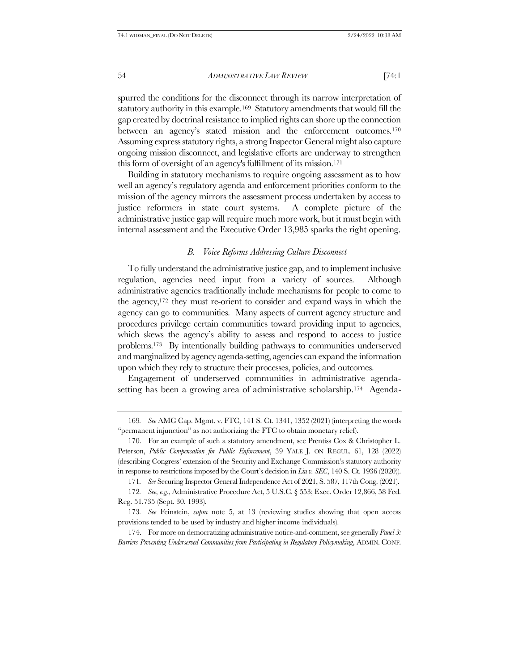spurred the conditions for the disconnect through its narrow interpretation of statutory authority in this example.169 Statutory amendments that would fill the gap created by doctrinal resistance to implied rights can shore up the connection between an agency's stated mission and the enforcement outcomes.<sup>170</sup> Assuming express statutory rights, a strong Inspector General might also capture ongoing mission disconnect, and legislative efforts are underway to strengthen this form of oversight of an agency's fulfillment of its mission.<sup>171</sup>

Building in statutory mechanisms to require ongoing assessment as to how well an agency's regulatory agenda and enforcement priorities conform to the mission of the agency mirrors the assessment process undertaken by access to justice reformers in state court systems. A complete picture of the administrative justice gap will require much more work, but it must begin with internal assessment and the Executive Order 13,985 sparks the right opening.

#### *B. Voice Reforms Addressing Culture Disconnect*

To fully understand the administrative justice gap, and to implement inclusive regulation, agencies need input from a variety of sources. Although administrative agencies traditionally include mechanisms for people to come to the agency,<sup>172</sup> they must re-orient to consider and expand ways in which the agency can go to communities. Many aspects of current agency structure and procedures privilege certain communities toward providing input to agencies, which skews the agency's ability to assess and respond to access to justice problems.173 By intentionally building pathways to communities underserved and marginalized by agency agenda-setting, agencies can expand the information upon which they rely to structure their processes, policies, and outcomes.

Engagement of underserved communities in administrative agendasetting has been a growing area of administrative scholarship.174 Agenda-

<sup>169</sup>*. See* AMG Cap. Mgmt. v. FTC, 141 S. Ct. 1341, 1352 (2021) (interpreting the words "permanent injunction" as not authorizing the FTC to obtain monetary relief).

<sup>170.</sup> For an example of such a statutory amendment, see Prentiss Cox & Christopher L. Peterson, *Public Compensation for Public Enforcement*, 39 YALE J. ON REGUL. 61, 128 (2022) (describing Congress' extension of the Security and Exchange Commission's statutory authority in response to restrictions imposed by the Court's decision in *Liu v. SEC*, 140 S. Ct. 1936 (2020)).

<sup>171</sup>*. See* Securing Inspector General Independence Act of 2021, S. 587, 117th Cong. (2021).

<sup>172</sup>*. See, e.g.*, Administrative Procedure Act, 5 U.S.C. § 553; Exec. Order 12,866, 58 Fed. Reg. 51,735 (Sept. 30, 1993).

<sup>173</sup>*. See* Feinstein, *supra* note [5,](#page-2-0) at 13 (reviewing studies showing that open access provisions tended to be used by industry and higher income individuals).

<sup>174.</sup> For more on democratizing administrative notice-and-comment, see generally *Panel 3: Barriers Preventing Underserved Communities from Participating in Regulatory Policymaking*, ADMIN. CONF.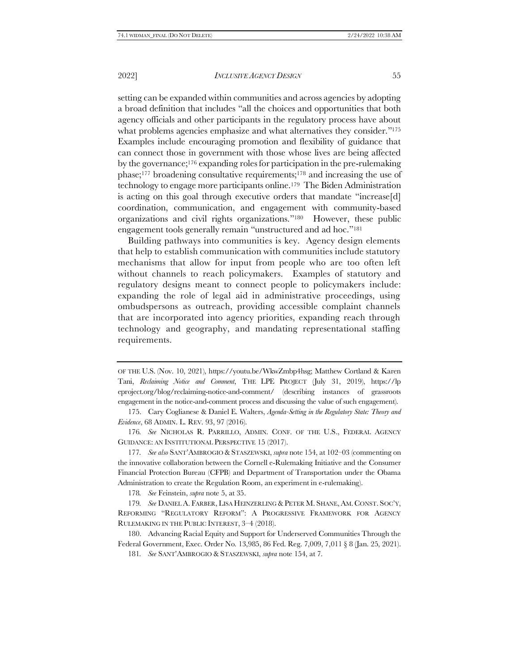setting can be expanded within communities and across agencies by adopting a broad definition that includes "all the choices and opportunities that both agency officials and other participants in the regulatory process have about what problems agencies emphasize and what alternatives they consider."<sup>175</sup> Examples include encouraging promotion and flexibility of guidance that can connect those in government with those whose lives are being affected by the governance;<sup>176</sup> expanding roles for participation in the pre-rulemaking phase;<sup>177</sup> broadening consultative requirements;<sup>178</sup> and increasing the use of technology to engage more participants online.179 The Biden Administration is acting on this goal through executive orders that mandate "increase[d] coordination, communication, and engagement with community-based organizations and civil rights organizations."180 However, these public engagement tools generally remain "unstructured and ad hoc."<sup>181</sup>

Building pathways into communities is key. Agency design elements that help to establish communication with communities include statutory mechanisms that allow for input from people who are too often left without channels to reach policymakers. Examples of statutory and regulatory designs meant to connect people to policymakers include: expanding the role of legal aid in administrative proceedings, using ombudspersons as outreach, providing accessible complaint channels that are incorporated into agency priorities, expanding reach through technology and geography, and mandating representational staffing requirements.

OF THE U.S. (Nov. 10, 2021), https://youtu.be/WkwZmbp4hsg; Matthew Cortland & Karen Tani, *Reclaiming Notice and Comment*, THE LPE PROJECT (July 31, 2019), https://lp eproject.org/blog/reclaiming-notice-and-comment/ (describing instances of grassroots engagement in the notice-and-comment process and discussing the value of such engagement).

<sup>175.</sup> Cary Coglianese & Daniel E. Walters, *Agenda-Setting in the Regulatory State: Theory and Evidence*, 68 ADMIN. L. REV. 93, 97 (2016).

<sup>176</sup>*. See* NICHOLAS R. PARRILLO, ADMIN. CONF. OF THE U.S., FEDERAL AGENCY GUIDANCE: AN INSTITUTIONAL PERSPECTIVE 15 (2017).

<sup>177</sup>*. See also* SANT'AMBROGIO &STASZEWSKI, *supra* not[e 154,](#page-29-0) at 102–03 (commenting on the innovative collaboration between the Cornell e-Rulemaking Initiative and the Consumer Financial Protection Bureau (CFPB) and Department of Transportation under the Obama Administration to create the Regulation Room, an experiment in e-rulemaking).

<sup>178</sup>*. See* Feinstein, *supra* not[e 5,](#page-2-0) at 35.

<sup>179</sup>*. See* DANIEL A. FARBER, LISA HEINZERLING &PETER M. SHANE, AM. CONST. SOC'Y, REFORMING "REGULATORY REFORM": A PROGRESSIVE FRAMEWORK FOR AGENCY RULEMAKING IN THE PUBLIC INTEREST, 3–4 (2018).

<sup>180.</sup> Advancing Racial Equity and Support for Underserved Communities Through the Federal Government, Exec. Order No. 13,985, 86 Fed. Reg. 7,009, 7,011 § 8 (Jan. 25, 2021).

<sup>181</sup>*. See* SANT'AMBROGIO & STASZEWSKI, *supra* note [154,](#page-29-0) at 7.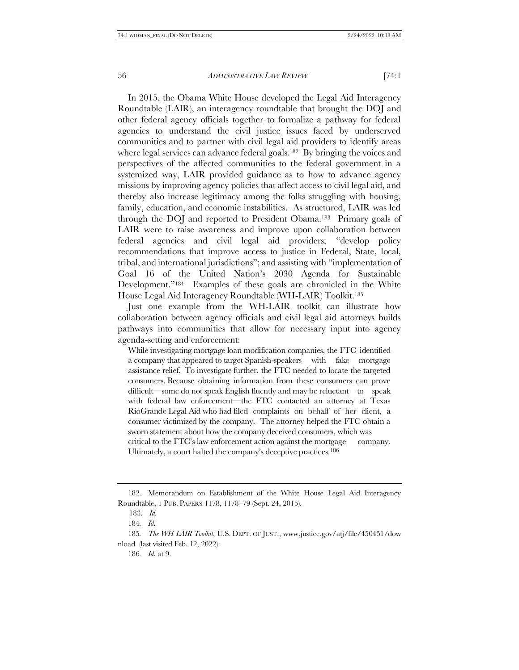In 2015, the Obama White House developed the Legal Aid Interagency Roundtable (LAIR), an interagency roundtable that brought the DOJ and other federal agency officials together to formalize a pathway for federal agencies to understand the civil justice issues faced by underserved communities and to partner with civil legal aid providers to identify areas where legal services can advance federal goals.182 By bringing the voices and perspectives of the affected communities to the federal government in a systemized way, LAIR provided guidance as to how to advance agency missions by improving agency policies that affect access to civil legal aid, and thereby also increase legitimacy among the folks struggling with housing, family, education, and economic instabilities. As structured, LAIR was led through the DOJ and reported to President Obama.183 Primary goals of LAIR were to raise awareness and improve upon collaboration between federal agencies and civil legal aid providers; "develop policy recommendations that improve access to justice in Federal, State, local, tribal, and international jurisdictions"; and assisting with "implementation of Goal 16 of the United Nation's 2030 Agenda for Sustainable Development."184 Examples of these goals are chronicled in the White House Legal Aid Interagency Roundtable (WH-LAIR) Toolkit.<sup>185</sup>

Just one example from the WH-LAIR toolkit can illustrate how collaboration between agency officials and civil legal aid attorneys builds pathways into communities that allow for necessary input into agency agenda-setting and enforcement:

While investigating mortgage loan modification companies, the FTC identified a company that appeared to target Spanish-speakers with fake mortgage assistance relief. To investigate further, the FTC needed to locate the targeted consumers. Because obtaining information from these consumers can prove difficult—some do not speak English fluently and may be reluctant to speak with federal law enforcement—the FTC contacted an attorney at Texas RioGrande Legal Aid who had filed complaints on behalf of her client, a consumer victimized by the company. The attorney helped the FTC obtain a sworn statement about how the company deceived consumers, which was critical to the FTC's law enforcement action against the mortgage company. Ultimately, a court halted the company's deceptive practices.<sup>186</sup>

<sup>182.</sup> Memorandum on Establishment of the White House Legal Aid Interagency Roundtable, 1 PUB. PAPERS 1178, 1178–79 (Sept. 24, 2015).

<sup>183.</sup> *Id.*

<sup>184</sup>*. Id.*

<sup>185</sup>*. The WH-LAIR Toolkit*, U.S. DEPT. OF JUST., www.justice.gov/atj/file/450451/dow nload (last visited Feb. 12, 2022).

<sup>186</sup>*. Id.* at 9.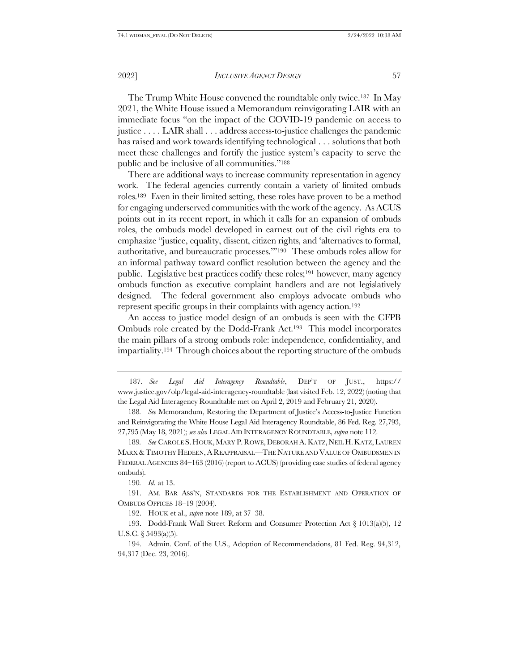The Trump White House convened the roundtable only twice.187 In May 2021, the White House issued a Memorandum reinvigorating LAIR with an immediate focus "on the impact of the COVID-19 pandemic on access to justice . . . . LAIR shall . . . address access-to-justice challenges the pandemic has raised and work towards identifying technological . . . solutions that both meet these challenges and fortify the justice system's capacity to serve the public and be inclusive of all communities."<sup>188</sup>

<span id="page-34-0"></span>There are additional ways to increase community representation in agency work. The federal agencies currently contain a variety of limited ombuds roles.189 Even in their limited setting, these roles have proven to be a method for engaging underserved communities with the work of the agency. As ACUS points out in its recent report, in which it calls for an expansion of ombuds roles, the ombuds model developed in earnest out of the civil rights era to emphasize "justice, equality, dissent, citizen rights, and 'alternatives to formal, authoritative, and bureaucratic processes.'"<sup>190</sup> These ombuds roles allow for an informal pathway toward conflict resolution between the agency and the public. Legislative best practices codify these roles;<sup>191</sup> however, many agency ombuds function as executive complaint handlers and are not legislatively designed. The federal government also employs advocate ombuds who represent specific groups in their complaints with agency action.<sup>192</sup>

An access to justice model design of an ombuds is seen with the CFPB Ombuds role created by the Dodd-Frank Act.193 This model incorporates the main pillars of a strong ombuds role: independence, confidentiality, and impartiality.194 Through choices about the reporting structure of the ombuds

187. *See Legal Aid Interagency Roundtable*, DEP'T OF JUST., https:// www.justice.gov/olp/legal-aid-interagency-roundtable (last visited Feb. 12, 2022) (noting that the Legal Aid Interagency Roundtable met on April 2, 2019 and February 21, 2020).

189. *See* CAROLE S. HOUK, MARY P. ROWE, DEBORAH A. KATZ, NEIL H. KATZ, LAUREN MARX &TIMOTHY HEDEEN, A REAPPRAISAL—THE NATURE AND VALUE OF OMBUDSMEN IN FEDERAL AGENCIES 84–163 (2016) (report to ACUS) (providing case studies of federal agency ombuds).

190*. Id.* at 13.

191. AM. BAR ASS'N, STANDARDS FOR THE ESTABLISHMENT AND OPERATION OF OMBUDS OFFICES 18–19 (2004).

192. HOUK et al., *supra* not[e 189,](#page-34-0) at 37–38.

193. Dodd-Frank Wall Street Reform and Consumer Protection Act § 1013(a)(5), 12 U.S.C.  $\S 5493(a)(5)$ .

194. Admin. Conf. of the U.S., Adoption of Recommendations, 81 Fed. Reg. 94,312, 94,317 (Dec. 23, 2016).

<sup>188</sup>*. See* Memorandum, Restoring the Department of Justice's Access-to-Justice Function and Reinvigorating the White House Legal Aid Interagency Roundtable, 86 Fed. Reg. 27,793, 27,795 (May 18, 2021); *see also* LEGAL AID INTERAGENCY ROUNDTABLE, *supra* not[e 112.](#page-21-1)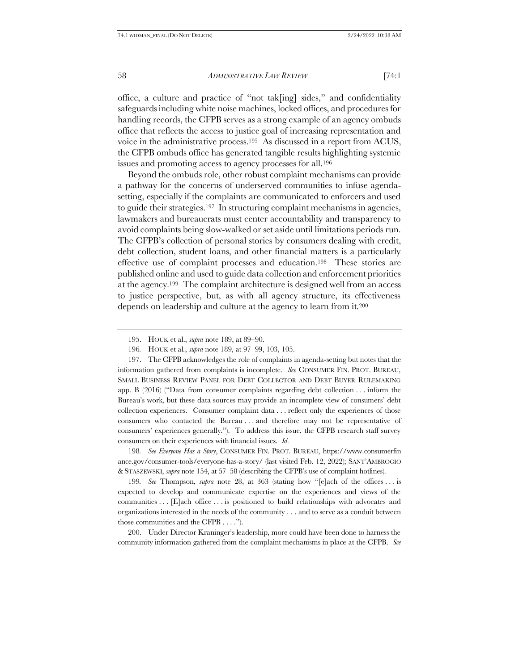office, a culture and practice of "not tak[ing] sides," and confidentiality safeguards including white noise machines, locked offices, and procedures for handling records, the CFPB serves as a strong example of an agency ombuds office that reflects the access to justice goal of increasing representation and voice in the administrative process.195 As discussed in a report from ACUS, the CFPB ombuds office has generated tangible results highlighting systemic issues and promoting access to agency processes for all.<sup>196</sup>

Beyond the ombuds role, other robust complaint mechanisms can provide a pathway for the concerns of underserved communities to infuse agendasetting, especially if the complaints are communicated to enforcers and used to guide their strategies.197 In structuring complaint mechanisms in agencies, lawmakers and bureaucrats must center accountability and transparency to avoid complaints being slow-walked or set aside until limitations periods run. The CFPB's collection of personal stories by consumers dealing with credit, debt collection, student loans, and other financial matters is a particularly effective use of complaint processes and education.198 These stories are published online and used to guide data collection and enforcement priorities at the agency.<sup>199</sup>The complaint architecture is designed well from an access to justice perspective, but, as with all agency structure, its effectiveness depends on leadership and culture at the agency to learn from it.<sup>200</sup>

197. The CFPB acknowledges the role of complaints in agenda-setting but notes that the information gathered from complaints is incomplete. *See* CONSUMER FIN. PROT. BUREAU, SMALL BUSINESS REVIEW PANEL FOR DEBT COLLECTOR AND DEBT BUYER RULEMAKING app. B (2016) ("Data from consumer complaints regarding debt collection . . . inform the Bureau's work, but these data sources may provide an incomplete view of consumers' debt collection experiences. Consumer complaint data . . . reflect only the experiences of those consumers who contacted the Bureau . . . and therefore may not be representative of consumers' experiences generally."). To address this issue, the CFPB research staff survey consumers on their experiences with financial issues. *Id.* 

198*. See Everyone Has a Story*, CONSUMER FIN. PROT. BUREAU, https://www.consumerfin ance.gov/consumer-tools/everyone-has-a-story/ (last visited Feb. 12, 2022); SANT'AMBROGIO &STASZEWSKI, *supra* not[e 154,](#page-29-0) at 57–58 (describing the CFPB's use of complaint hotlines).

199*. See* Thompson, *supra* note [28,](#page-7-1) at 363 (stating how "[e]ach of the offices . . . is expected to develop and communicate expertise on the experiences and views of the communities . . . [E]ach office . . . is positioned to build relationships with advocates and organizations interested in the needs of the community . . . and to serve as a conduit between those communities and the CFPB . . . .").

200. Under Director Kraninger's leadership, more could have been done to harness the community information gathered from the complaint mechanisms in place at the CFPB. *See*

<sup>195.</sup> HOUK et al., *supra* not[e 189,](#page-34-0) at 89–90.

<sup>196</sup>*.* HOUK et al., *supra* note [189,](#page-34-0) at 97–99, 103, 105.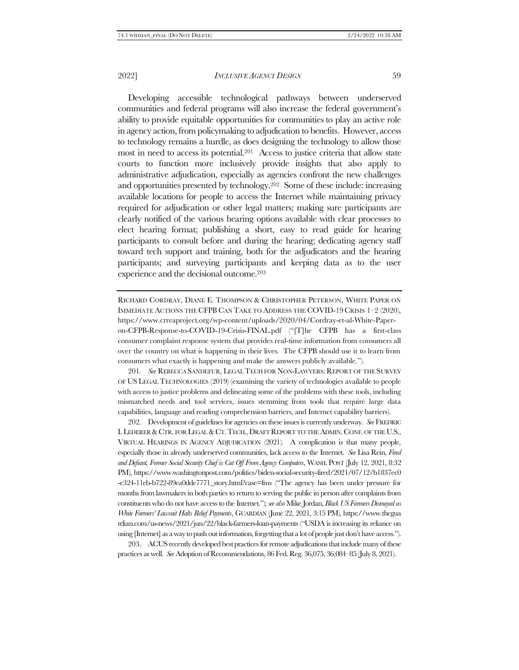<span id="page-36-0"></span>Developing accessible technological pathways between underserved communities and federal programs will also increase the federal government's ability to provide equitable opportunities for communities to play an active role in agency action, from policymaking to adjudication to benefits. However, access to technology remains a hurdle, as does designing the technology to allow those most in need to access its potential.201 Access to justice criteria that allow state courts to function more inclusively provide insights that also apply to administrative adjudication, especially as agencies confront the new challenges and opportunities presented by technology.202 Some of these include: increasing available locations for people to access the Internet while maintaining privacy required for adjudication or other legal matters; making sure participants are clearly notified of the various hearing options available with clear processes to elect hearing format; publishing a short, easy to read guide for hearing participants to consult before and during the hearing; dedicating agency staff toward tech support and training, both for the adjudicators and the hearing participants; and surveying participants and keeping data as to the user experience and the decisional outcome.<sup>203</sup>

RICHARD CORDRAY, DIANE E. THOMPSON & CHRISTOPHER PETERSON, WHITE PAPER ON IMMEDIATE ACTIONS THE CFPB CAN TAKE TO ADDRESS THE COVID-19 CRISIS 1–2 (2020), https://www.crreaproject.org/wp-content/uploads/2020/04/Cordray-et-al-White-Paperon-CFPB-Response-to-COVID-19-Crisis-FINAL.pdf ("[T]he CFPB has a first-class consumer complaint response system that provides real-time information from consumers all over the country on what is happening in their lives. The CFPB should use it to learn from consumers what exactly is happening and make the answers publicly available.").

201. See REBECCA SANDEFUR, LEGAL TECH FOR NON-LAWYERS: REPORT OF THE SURVEY OF US LEGAL TECHNOLOGIES (2019) (examining the variety of technologies available to people with access to justice problems and delineating some of the problems with these tools, including mismatched needs and tool services, issues stemming from tools that require large data capabilities, language and reading comprehension barriers, and Internet capability barriers).

202. Development of guidelines for agencies on these issues is currently underway. *See* FREDRIC I. LEDERER & CTR. FOR LEGAL & CT.TECH.,DRAFT REPORT TO THE ADMIN. CONF. OF THE U.S., VIRTUAL HEARINGS IN AGENCY ADJUDICATION (2021). A complication is that many people, especially those in already underserved communities, lack access to the Internet. *See* Lisa Rein, *Fired and Defiant, Former Social Security Chief is Cut Off From Agency Computers*, WASH. POST (July 12, 2021, 8:32 PM), https://www.washingtonpost.com/politics/biden-social-security-fired/2021/07/12/b1837ec0 -e324-11eb-b722-89ea0dde7771\_story.html?case=fms ("The agency has been under pressure for months from lawmakers in both parties to return to serving the public in person after complaints from constituents who do not have access to the Internet."); *see also* Mike Jordan, *Black US Farmers Dismayed as White Farmers' Lawsuit Halts Relief Payments*, GUARDIAN (June 22, 2021, 3:15 PM), https://www.thegua rdian.com/us-news/2021/jun/22/black-farmers-loan-payments ("USDA is increasing its reliance on using [Internet] as a way to push out information, forgetting that a lot of people just don't have access.").

203. ACUS recently developed best practices for remote adjudications that include many of these practices as well. *See* Adoption of Recommendations, 86 Fed. Reg. 36,075, 36,084–85 (July 8, 2021).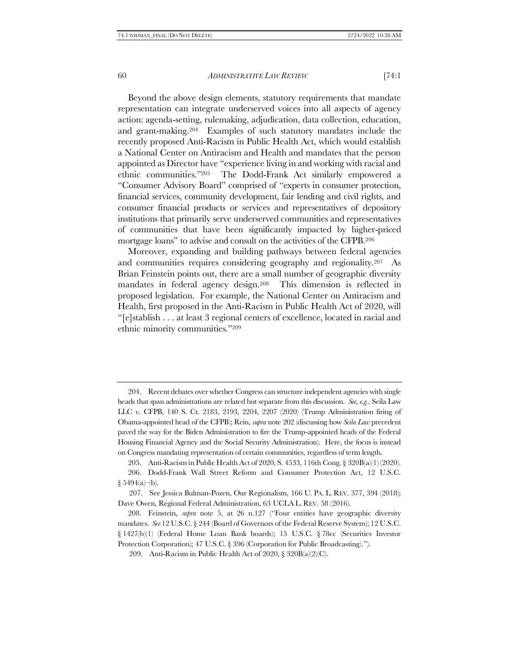Beyond the above design elements, statutory requirements that mandate representation can integrate underserved voices into all aspects of agency action: agenda-setting, rulemaking, adjudication, data collection, education, and grant-making.204 Examples of such statutory mandates include the recently proposed Anti-Racism in Public Health Act, which would establish a National Center on Antiracism and Health and mandates that the person appointed as Director have "experience living in and working with racial and ethnic communities."205 The Dodd-Frank Act similarly empowered a "Consumer Advisory Board" comprised of "experts in consumer protection, financial services, community development, fair lending and civil rights, and consumer financial products or services and representatives of depository institutions that primarily serve underserved communities and representatives of communities that have been significantly impacted by higher-priced mortgage loans" to advise and consult on the activities of the CFPB.<sup>206</sup>

Moreover, expanding and building pathways between federal agencies and communities requires considering geography and regionality.207 As Brian Feinstein points out, there are a small number of geographic diversity mandates in federal agency design.208 This dimension is reflected in proposed legislation. For example, the National Center on Antiracism and Health, first proposed in the Anti-Racism in Public Health Act of 2020, will "[e]stablish . . . at least 3 regional centers of excellence, located in racial and ethnic minority communities."<sup>209</sup>

<sup>204.</sup> Recent debates over whether Congress can structure independent agencies with single heads that span administrations are related but separate from this discussion. *See, e.g.*, Seila Law LLC v. CFPB, 140 S. Ct. 2183, 2193, 2204, 2207 (2020) (Trump Administration firing of Obama-appointed head of the CFPB); Rein, *supra* note [202](#page-36-0) (discussing how *Seila Law* precedent paved the way for the Biden Administration to fire the Trump-appointed heads of the Federal Housing Financial Agency and the Social Security Administration). Here, the focus is instead on Congress mandating representation of certain communities, regardless of term length.

<sup>205.</sup> Anti-Racism in Public Health Act of 2020, S. 4533, 116th Cong. § 320B(a)(1) (2020). 206. Dodd-Frank Wall Street Reform and Consumer Protection Act, 12 U.S.C.  $§ 5494(a)–(b).$ 

<sup>207.</sup> See Jessica Bulman-Pozen, Our Regionalism, 166 U. PA. L. REV. 377, 394 (2018); Dave Owen, Regional Federal Administration, 63 UCLA L. REV. 58 (2016).

<sup>208.</sup> Feinstein, *supra* note [5](#page-2-0), at 26 n.127 ("Four entities have geographic diversity mandates. *See* 12 U.S.C. § 244 (Board of Governors of the Federal Reserve System); 12 U.S.C. § 1427(b)(1) (Federal Home Loan Bank boards); 15 U.S.C. § 78cc (Securities Investor Protection Corporation); 47 U.S.C. § 396 (Corporation for Public Broadcasting).").

<sup>209.</sup> Anti-Racism in Public Health Act of 2020, § 320B(a)(2)(C).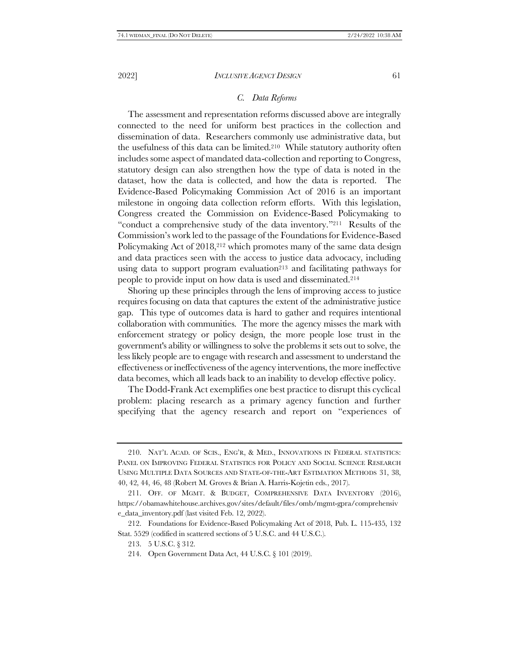## *C. Data Reforms*

The assessment and representation reforms discussed above are integrally connected to the need for uniform best practices in the collection and dissemination of data. Researchers commonly use administrative data, but the usefulness of this data can be limited. <sup>210</sup> While statutory authority often includes some aspect of mandated data-collection and reporting to Congress, statutory design can also strengthen how the type of data is noted in the dataset, how the data is collected, and how the data is reported. The Evidence-Based Policymaking Commission Act of 2016 is an important milestone in ongoing data collection reform efforts. With this legislation, Congress created the Commission on Evidence-Based Policymaking to "conduct a comprehensive study of the data inventory."211 Results of the Commission's work led to the passage of the Foundations for Evidence-Based Policymaking Act of 2018,<sup>212</sup> which promotes many of the same data design and data practices seen with the access to justice data advocacy, including using data to support program evaluation<sup>213</sup> and facilitating pathways for people to provide input on how data is used and disseminated.<sup>214</sup>

Shoring up these principles through the lens of improving access to justice requires focusing on data that captures the extent of the administrative justice gap. This type of outcomes data is hard to gather and requires intentional collaboration with communities. The more the agency misses the mark with enforcement strategy or policy design, the more people lose trust in the government's ability or willingness to solve the problems it sets out to solve, the less likely people are to engage with research and assessment to understand the effectiveness or ineffectiveness of the agency interventions, the more ineffective data becomes, which all leads back to an inability to develop effective policy.

The Dodd-Frank Act exemplifies one best practice to disrupt this cyclical problem: placing research as a primary agency function and further specifying that the agency research and report on "experiences of

<sup>210.</sup> NAT'L ACAD. OF SCIS., ENG'R, & MED., INNOVATIONS IN FEDERAL STATISTICS: PANEL ON IMPROVING FEDERAL STATISTICS FOR POLICY AND SOCIAL SCIENCE RESEARCH USING MULTIPLE DATA SOURCES AND STATE-OF-THE-ART ESTIMATION METHODS 31, 38, 40, 42, 44, 46, 48 (Robert M. Groves & Brian A. Harris-Kojetin eds., 2017).

<sup>211.</sup> OFF. OF MGMT. & BUDGET, COMPREHENSIVE DATA INVENTORY (2016), https://obamawhitehouse.archives.gov/sites/default/files/omb/mgmt-gpra/comprehensiv e\_data\_inventory.pdf (last visited Feb. 12, 2022).

<sup>212.</sup> Foundations for Evidence-Based Policymaking Act of 2018, Pub. L. 115-435, 132 Stat. 5529 (codified in scattered sections of 5 U.S.C. and 44 U.S.C.).

<sup>213.</sup> 5 U.S.C. § 312.

<sup>214.</sup> Open Government Data Act, 44 U.S.C. § 101 (2019).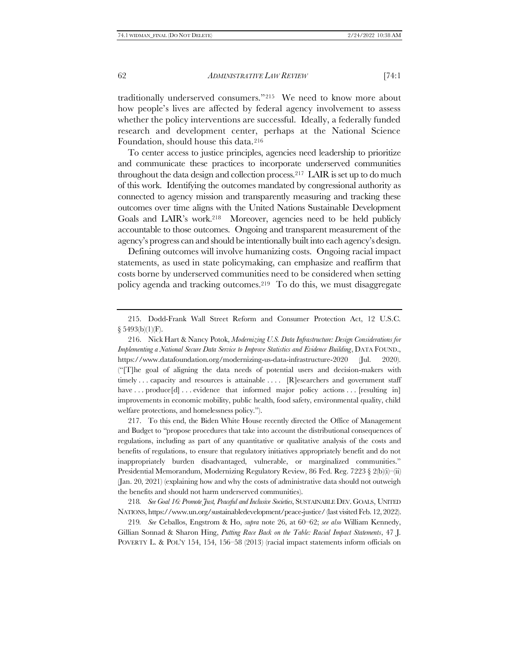traditionally underserved consumers."215 We need to know more about how people's lives are affected by federal agency involvement to assess whether the policy interventions are successful. Ideally, a federally funded research and development center, perhaps at the National Science Foundation, should house this data.<sup>216</sup>

To center access to justice principles, agencies need leadership to prioritize and communicate these practices to incorporate underserved communities throughout the data design and collection process.217 LAIR is set up to do much of this work. Identifying the outcomes mandated by congressional authority as connected to agency mission and transparently measuring and tracking these outcomes over time aligns with the United Nations Sustainable Development Goals and LAIR's work.218 Moreover, agencies need to be held publicly accountable to those outcomes. Ongoing and transparent measurement of the agency's progress can and should be intentionally built into each agency's design.

Defining outcomes will involve humanizing costs. Ongoing racial impact statements, as used in state policymaking, can emphasize and reaffirm that costs borne by underserved communities need to be considered when setting policy agenda and tracking outcomes.219 To do this, we must disaggregate

217. To this end, the Biden White House recently directed the Office of Management and Budget to "propose procedures that take into account the distributional consequences of regulations, including as part of any quantitative or qualitative analysis of the costs and benefits of regulations, to ensure that regulatory initiatives appropriately benefit and do not inappropriately burden disadvantaged, vulnerable, or marginalized communities." Presidential Memorandum, Modernizing Regulatory Review, 86 Fed. Reg. 7223 § 2(b)(i)–(ii) (Jan. 20, 2021) (explaining how and why the costs of administrative data should not outweigh the benefits and should not harm underserved communities).

218*. See Goal 16: Promote Just, Peaceful and Inclusive Societies*, SUSTAINABLE DEV. GOALS, UNITED NATIONS, https://www.un.org/sustainabledevelopment/peace-justice/ (last visited Feb. 12, 2022).

219*. See* Ceballos, Engstrom & Ho, *supra* note [26,](#page-7-0) at 60–62; *see also* William Kennedy, Gillian Sonnad & Sharon Hing, *Putting Race Back on the Table: Racial Impact Statements*, 47 J. POVERTY L. & POL'Y 154, 154, 156–58 (2013) (racial impact statements inform officials on

<sup>215.</sup> Dodd-Frank Wall Street Reform and Consumer Protection Act, 12 U.S.C.  $§ 5493(b)(1)(F).$ 

<sup>216.</sup> Nick Hart & Nancy Potok, *Modernizing U.S. Data Infrastructure: Design Considerations for Implementing a National Secure Data Service to Improve Statistics and Evidence Building*, DATA FOUND., https://www.datafoundation.org/modernizing-us-data-infrastructure-2020 (Jul. 2020). ("[T]he goal of aligning the data needs of potential users and decision-makers with timely ... capacity and resources is attainable .... [R]esearchers and government staff have ... produce[d] ... evidence that informed major policy actions ... [resulting in] improvements in economic mobility, public health, food safety, environmental quality, child welfare protections, and homelessness policy.").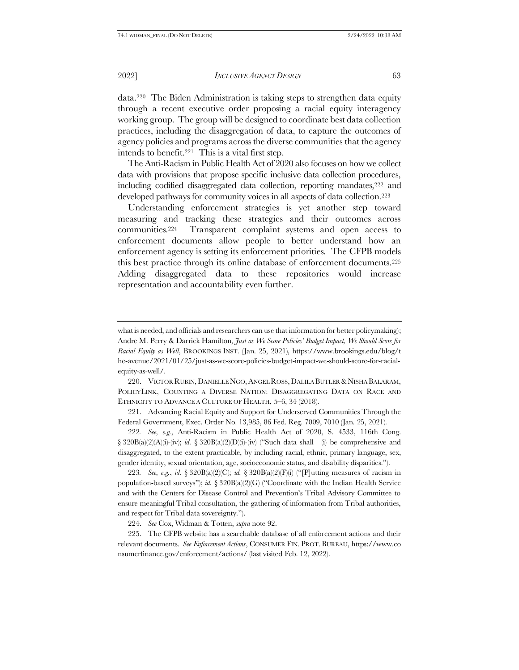data.220 The Biden Administration is taking steps to strengthen data equity through a recent executive order proposing a racial equity interagency working group. The group will be designed to coordinate best data collection practices, including the disaggregation of data, to capture the outcomes of agency policies and programs across the diverse communities that the agency intends to benefit.221 This is a vital first step.

The Anti-Racism in Public Health Act of 2020 also focuses on how we collect data with provisions that propose specific inclusive data collection procedures, including codified disaggregated data collection, reporting mandates,<sup>222</sup> and developed pathways for community voices in all aspects of data collection.<sup>223</sup>

Understanding enforcement strategies is yet another step toward measuring and tracking these strategies and their outcomes across communities.224 Transparent complaint systems and open access to enforcement documents allow people to better understand how an enforcement agency is setting its enforcement priorities. The CFPB models this best practice through its online database of enforcement documents.<sup>225</sup> Adding disaggregated data to these repositories would increase representation and accountability even further.

220. VICTOR RUBIN, DANIELLE NGO, ANGEL ROSS, DALILA BUTLER & NISHA BALARAM, POLICYLINK, COUNTING A DIVERSE NATION: DISAGGREGATING DATA ON RACE AND ETHNICITY TO ADVANCE A CULTURE OF HEALTH, 5–6, 34 (2018).

221. Advancing Racial Equity and Support for Underserved Communities Through the Federal Government, Exec. Order No. 13,985, 86 Fed. Reg. 7009, 7010 (Jan. 25, 2021).

222*. See, e.g.*, Anti-Racism in Public Health Act of 2020, S. 4533, 116th Cong.  $\S$  320B(a)(2)(A)(i)-(iv); *id.*  $\S$  320B(a)(2)(D)(i)-(iv) ("Such data shall—(i) be comprehensive and disaggregated, to the extent practicable, by including racial, ethnic, primary language, sex, gender identity, sexual orientation, age, socioeconomic status, and disability disparities.").

223*. See, e.g.*, *id.* § 320B(a)(2)(C); *id.* § 320B(a)(2)(F)(i) ("[P]utting measures of racism in population-based surveys"); *id.* § 320B(a)(2)(G) ("Coordinate with the Indian Health Service and with the Centers for Disease Control and Prevention's Tribal Advisory Committee to ensure meaningful Tribal consultation, the gathering of information from Tribal authorities, and respect for Tribal data sovereignty.").

224. *See* Cox, Widman & Totten, *supra* not[e 92.](#page-19-0)

225. The CFPB website has a searchable database of all enforcement actions and their relevant documents. *See Enforcement Actions*, CONSUMER FIN. PROT. BUREAU, https://www.co nsumerfinance.gov/enforcement/actions/ (last visited Feb. 12, 2022).

what is needed, and officials and researchers can use that information for better policymaking); Andre M. Perry & Darrick Hamilton, *Just as We Score Policies' Budget Impact, We Should Score for Racial Equity as Well*, BROOKINGS INST. (Jan. 25, 2021), https://www.brookings.edu/blog/t he-avenue/2021/01/25/just-as-we-score-policies-budget-impact-we-should-score-for-racialequity-as-well/.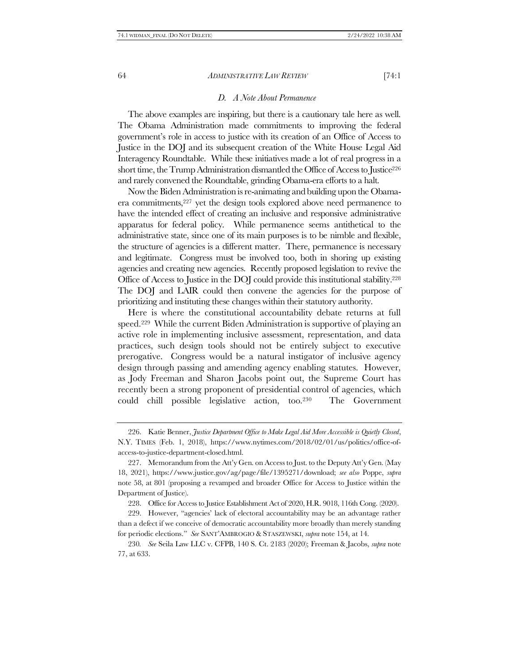## *D. A Note About Permanence*

The above examples are inspiring, but there is a cautionary tale here as well. The Obama Administration made commitments to improving the federal government's role in access to justice with its creation of an Office of Access to Justice in the DOJ and its subsequent creation of the White House Legal Aid Interagency Roundtable. While these initiatives made a lot of real progress in a short time, the Trump Administration dismantled the Office of Access to Justice<sup>226</sup> and rarely convened the Roundtable, grinding Obama-era efforts to a halt.

Now the Biden Administration is re-animating and building upon the Obamaera commitments,<sup>227</sup> yet the design tools explored above need permanence to have the intended effect of creating an inclusive and responsive administrative apparatus for federal policy. While permanence seems antithetical to the administrative state, since one of its main purposes is to be nimble and flexible, the structure of agencies is a different matter. There, permanence is necessary and legitimate. Congress must be involved too, both in shoring up existing agencies and creating new agencies. Recently proposed legislation to revive the Office of Access to Justice in the DOJ could provide this institutional stability.<sup>228</sup> The DOJ and LAIR could then convene the agencies for the purpose of prioritizing and instituting these changes within their statutory authority.

Here is where the constitutional accountability debate returns at full speed.229 While the current Biden Administration is supportive of playing an active role in implementing inclusive assessment, representation, and data practices, such design tools should not be entirely subject to executive prerogative. Congress would be a natural instigator of inclusive agency design through passing and amending agency enabling statutes. However, as Jody Freeman and Sharon Jacobs point out, the Supreme Court has recently been a strong proponent of presidential control of agencies, which could chill possible legislative action, too.230 The Government

229. However, "agencies' lack of electoral accountability may be an advantage rather than a defect if we conceive of democratic accountability more broadly than merely standing for periodic elections." *See* SANT'AMBROGIO & STASZEWSKI, *supra* not[e 154,](#page-29-0) at 14.

230*. See* Seila Law LLC v. CFPB, 140 S. Ct. 2183 (2020); Freeman & Jacobs, *supra* note [77,](#page-15-0) at 633.

<sup>226.</sup> Katie Benner, *Justice Department Office to Make Legal Aid More Accessible is Quietly Closed*, N.Y. TIMES (Feb. 1, 2018), https://www.nytimes.com/2018/02/01/us/politics/office-ofaccess-to-justice-department-closed.html.

<sup>227.</sup> Memorandum from the Att'y Gen. on Access to Just. to the Deputy Att'y Gen. (May 18, 2021), https://www.justice.gov/ag/page/file/1395271/download; *see also* Poppe, *supra* note [58,](#page-13-0) at 801 (proposing a revamped and broader Office for Access to Justice within the Department of Justice).

<sup>228.</sup> Office for Access to Justice Establishment Act of 2020, H.R. 9018, 116th Cong. (2020).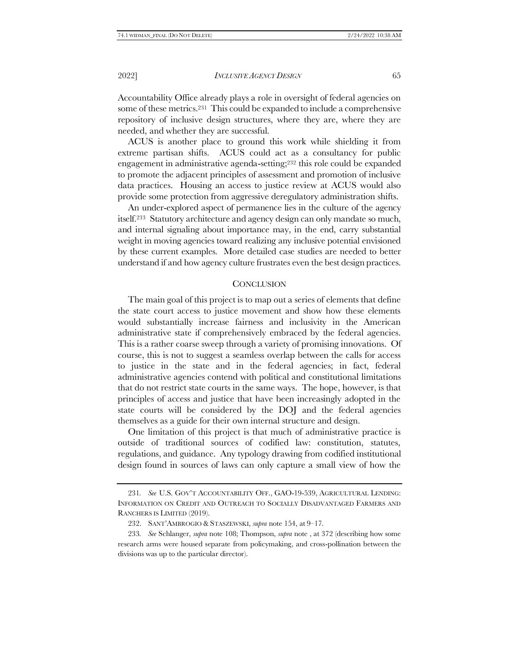Accountability Office already plays a role in oversight of federal agencies on some of these metrics.231 This could be expanded to include a comprehensive repository of inclusive design structures, where they are, where they are needed, and whether they are successful.

ACUS is another place to ground this work while shielding it from extreme partisan shifts. ACUS could act as a consultancy for public engagement in administrative agenda-setting; <sup>232</sup> this role could be expanded to promote the adjacent principles of assessment and promotion of inclusive data practices. Housing an access to justice review at ACUS would also provide some protection from aggressive deregulatory administration shifts.

An under-explored aspect of permanence lies in the culture of the agency itself.233 Statutory architecture and agency design can only mandate so much, and internal signaling about importance may, in the end, carry substantial weight in moving agencies toward realizing any inclusive potential envisioned by these current examples. More detailed case studies are needed to better understand if and how agency culture frustrates even the best design practices.

## **CONCLUSION**

The main goal of this project is to map out a series of elements that define the state court access to justice movement and show how these elements would substantially increase fairness and inclusivity in the American administrative state if comprehensively embraced by the federal agencies. This is a rather coarse sweep through a variety of promising innovations. Of course, this is not to suggest a seamless overlap between the calls for access to justice in the state and in the federal agencies; in fact, federal administrative agencies contend with political and constitutional limitations that do not restrict state courts in the same ways. The hope, however, is that principles of access and justice that have been increasingly adopted in the state courts will be considered by the DOJ and the federal agencies themselves as a guide for their own internal structure and design.

One limitation of this project is that much of administrative practice is outside of traditional sources of codified law: constitution, statutes, regulations, and guidance. Any typology drawing from codified institutional design found in sources of laws can only capture a small view of how the

<sup>231</sup>*. See* U.S. GOV'T ACCOUNTABILITY OFF., GAO-19-539, AGRICULTURAL LENDING: INFORMATION ON CREDIT AND OUTREACH TO SOCIALLY DISADVANTAGED FARMERS AND RANCHERS IS LIMITED (2019).

<sup>232.</sup> SANT'AMBROGIO & STASZEWSKI, *supra* not[e 154,](#page-29-0) at 9–17.

<sup>233</sup>*. See* Schlanger, *supra* note [108;](#page-21-2) Thompson, *supra* note , at 372 (describing how some research arms were housed separate from policymaking, and cross-pollination between the divisions was up to the particular director).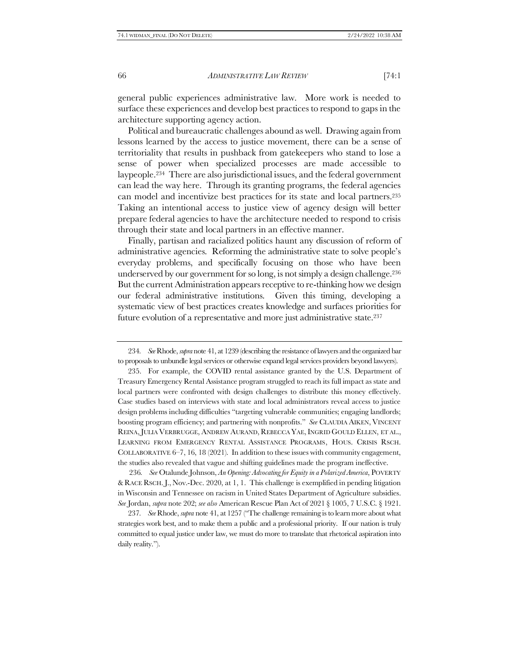general public experiences administrative law. More work is needed to surface these experiences and develop best practices to respond to gaps in the architecture supporting agency action.

Political and bureaucratic challenges abound as well. Drawing again from lessons learned by the access to justice movement, there can be a sense of territoriality that results in pushback from gatekeepers who stand to lose a sense of power when specialized processes are made accessible to laypeople.234 There are also jurisdictional issues, and the federal government can lead the way here. Through its granting programs, the federal agencies can model and incentivize best practices for its state and local partners.<sup>235</sup> Taking an intentional access to justice view of agency design will better prepare federal agencies to have the architecture needed to respond to crisis through their state and local partners in an effective manner.

Finally, partisan and racialized politics haunt any discussion of reform of administrative agencies. Reforming the administrative state to solve people's everyday problems, and specifically focusing on those who have been underserved by our government for so long, is not simply a design challenge.<sup>236</sup> But the current Administration appears receptive to re-thinking how we design our federal administrative institutions. Given this timing, developing a systematic view of best practices creates knowledge and surfaces priorities for future evolution of a representative and more just administrative state.<sup>237</sup>

235. For example, the COVID rental assistance granted by the U.S. Department of Treasury Emergency Rental Assistance program struggled to reach its full impact as state and local partners were confronted with design challenges to distribute this money effectively. Case studies based on interviews with state and local administrators reveal access to justice design problems including difficulties "targeting vulnerable communities; engaging landlords; boosting program efficiency; and partnering with nonprofits." *See* CLAUDIA AIKEN, VINCENT REINA,JULIA VERBRUGGE, ANDREW AURAND, REBECCA YAE,INGRID GOULD ELLEN, ET AL., LEARNING FROM EMERGENCY RENTAL ASSISTANCE PROGRAMS, HOUS. CRISIS RSCH. COLLABORATIVE 6–7, 16, 18 (2021). In addition to these issues with community engagement, the studies also revealed that vague and shifting guidelines made the program ineffective.

236*. See* Otalunde Johnson, *An Opening: Advocating for Equity in a Polarized America*, POVERTY & RACE RSCH. J., Nov.-Dec. 2020, at 1, 1. This challenge is exemplified in pending litigation in Wisconsin and Tennessee on racism in United States Department of Agriculture subsidies. *See* Jordan, *supra* not[e 202;](#page-36-0) *see also* American Rescue Plan Act of 2021 § 1005, 7 U.S.C. § 1921.

237*. See* Rhode, *supra* not[e 41](#page-10-0), at 1257 ("The challenge remaining is to learn more about what strategies work best, and to make them a public and a professional priority. If our nation is truly committed to equal justice under law, we must do more to translate that rhetorical aspiration into daily reality.").

<sup>234</sup>*. See*Rhode, *supra* not[e 41,](#page-10-0) at 1239 (describing the resistance of lawyers and the organized bar to proposals to unbundle legal services or otherwise expand legal services providers beyond lawyers).